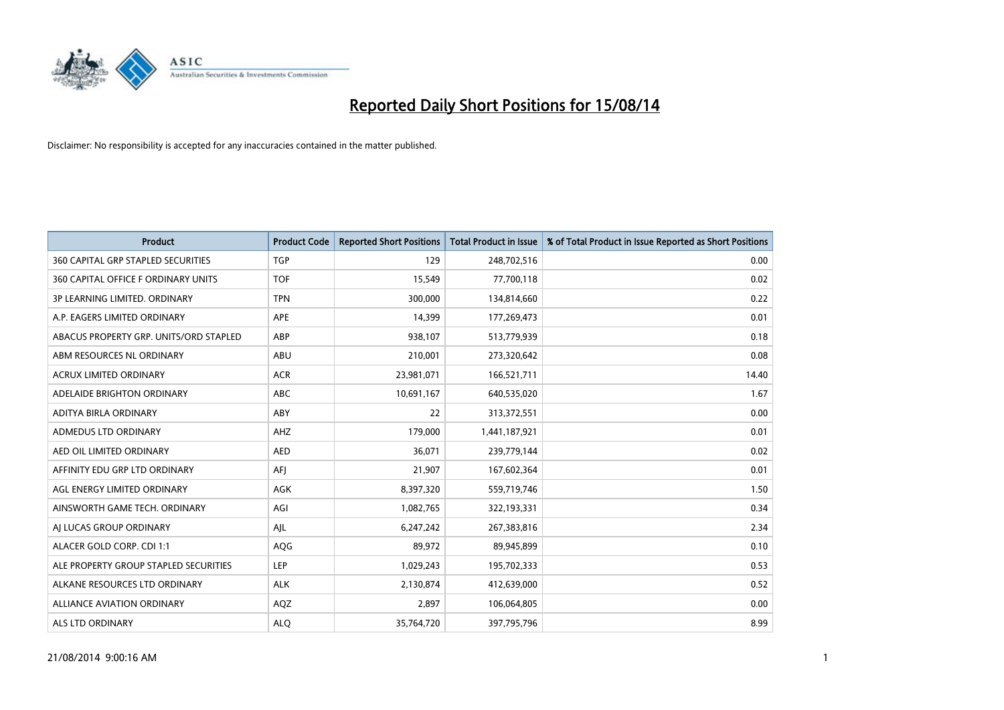

| <b>Product</b>                            | <b>Product Code</b> | <b>Reported Short Positions</b> | <b>Total Product in Issue</b> | % of Total Product in Issue Reported as Short Positions |
|-------------------------------------------|---------------------|---------------------------------|-------------------------------|---------------------------------------------------------|
| <b>360 CAPITAL GRP STAPLED SECURITIES</b> | <b>TGP</b>          | 129                             | 248,702,516                   | 0.00                                                    |
| 360 CAPITAL OFFICE F ORDINARY UNITS       | <b>TOF</b>          | 15,549                          | 77,700,118                    | 0.02                                                    |
| 3P LEARNING LIMITED, ORDINARY             | <b>TPN</b>          | 300,000                         | 134,814,660                   | 0.22                                                    |
| A.P. EAGERS LIMITED ORDINARY              | APE                 | 14,399                          | 177,269,473                   | 0.01                                                    |
| ABACUS PROPERTY GRP. UNITS/ORD STAPLED    | ABP                 | 938,107                         | 513,779,939                   | 0.18                                                    |
| ABM RESOURCES NL ORDINARY                 | ABU                 | 210,001                         | 273,320,642                   | 0.08                                                    |
| <b>ACRUX LIMITED ORDINARY</b>             | <b>ACR</b>          | 23,981,071                      | 166,521,711                   | 14.40                                                   |
| ADELAIDE BRIGHTON ORDINARY                | <b>ABC</b>          | 10,691,167                      | 640,535,020                   | 1.67                                                    |
| ADITYA BIRLA ORDINARY                     | ABY                 | 22                              | 313,372,551                   | 0.00                                                    |
| ADMEDUS LTD ORDINARY                      | AHZ                 | 179,000                         | 1,441,187,921                 | 0.01                                                    |
| AED OIL LIMITED ORDINARY                  | <b>AED</b>          | 36,071                          | 239,779,144                   | 0.02                                                    |
| AFFINITY EDU GRP LTD ORDINARY             | AFJ                 | 21,907                          | 167,602,364                   | 0.01                                                    |
| AGL ENERGY LIMITED ORDINARY               | AGK                 | 8,397,320                       | 559,719,746                   | 1.50                                                    |
| AINSWORTH GAME TECH. ORDINARY             | AGI                 | 1,082,765                       | 322,193,331                   | 0.34                                                    |
| AI LUCAS GROUP ORDINARY                   | AJL                 | 6,247,242                       | 267,383,816                   | 2.34                                                    |
| ALACER GOLD CORP. CDI 1:1                 | AQG                 | 89,972                          | 89,945,899                    | 0.10                                                    |
| ALE PROPERTY GROUP STAPLED SECURITIES     | LEP                 | 1,029,243                       | 195,702,333                   | 0.53                                                    |
| ALKANE RESOURCES LTD ORDINARY             | <b>ALK</b>          | 2,130,874                       | 412,639,000                   | 0.52                                                    |
| <b>ALLIANCE AVIATION ORDINARY</b>         | AQZ                 | 2,897                           | 106,064,805                   | 0.00                                                    |
| ALS LTD ORDINARY                          | <b>ALO</b>          | 35,764,720                      | 397,795,796                   | 8.99                                                    |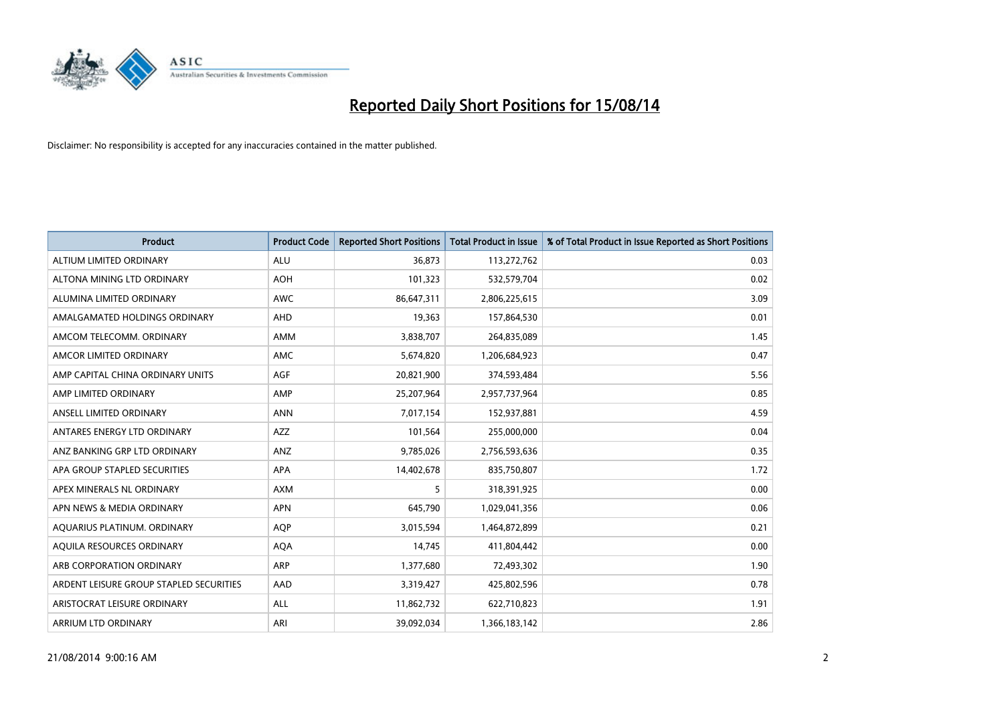

| <b>Product</b>                          | <b>Product Code</b> | <b>Reported Short Positions</b> | <b>Total Product in Issue</b> | % of Total Product in Issue Reported as Short Positions |
|-----------------------------------------|---------------------|---------------------------------|-------------------------------|---------------------------------------------------------|
| ALTIUM LIMITED ORDINARY                 | <b>ALU</b>          | 36,873                          | 113,272,762                   | 0.03                                                    |
| ALTONA MINING LTD ORDINARY              | <b>AOH</b>          | 101,323                         | 532,579,704                   | 0.02                                                    |
| ALUMINA LIMITED ORDINARY                | <b>AWC</b>          | 86,647,311                      | 2,806,225,615                 | 3.09                                                    |
| AMALGAMATED HOLDINGS ORDINARY           | AHD                 | 19,363                          | 157,864,530                   | 0.01                                                    |
| AMCOM TELECOMM, ORDINARY                | AMM                 | 3,838,707                       | 264,835,089                   | 1.45                                                    |
| AMCOR LIMITED ORDINARY                  | AMC                 | 5,674,820                       | 1,206,684,923                 | 0.47                                                    |
| AMP CAPITAL CHINA ORDINARY UNITS        | AGF                 | 20,821,900                      | 374,593,484                   | 5.56                                                    |
| AMP LIMITED ORDINARY                    | AMP                 | 25,207,964                      | 2,957,737,964                 | 0.85                                                    |
| ANSELL LIMITED ORDINARY                 | <b>ANN</b>          | 7,017,154                       | 152,937,881                   | 4.59                                                    |
| ANTARES ENERGY LTD ORDINARY             | AZZ                 | 101,564                         | 255,000,000                   | 0.04                                                    |
| ANZ BANKING GRP LTD ORDINARY            | ANZ                 | 9,785,026                       | 2,756,593,636                 | 0.35                                                    |
| APA GROUP STAPLED SECURITIES            | APA                 | 14,402,678                      | 835,750,807                   | 1.72                                                    |
| APEX MINERALS NL ORDINARY               | <b>AXM</b>          | 5                               | 318,391,925                   | 0.00                                                    |
| APN NEWS & MEDIA ORDINARY               | <b>APN</b>          | 645,790                         | 1,029,041,356                 | 0.06                                                    |
| AQUARIUS PLATINUM. ORDINARY             | <b>AOP</b>          | 3,015,594                       | 1,464,872,899                 | 0.21                                                    |
| AQUILA RESOURCES ORDINARY               | <b>AQA</b>          | 14,745                          | 411,804,442                   | 0.00                                                    |
| ARB CORPORATION ORDINARY                | ARP                 | 1,377,680                       | 72,493,302                    | 1.90                                                    |
| ARDENT LEISURE GROUP STAPLED SECURITIES | AAD                 | 3,319,427                       | 425,802,596                   | 0.78                                                    |
| ARISTOCRAT LEISURE ORDINARY             | ALL                 | 11,862,732                      | 622,710,823                   | 1.91                                                    |
| ARRIUM LTD ORDINARY                     | ARI                 | 39,092,034                      | 1,366,183,142                 | 2.86                                                    |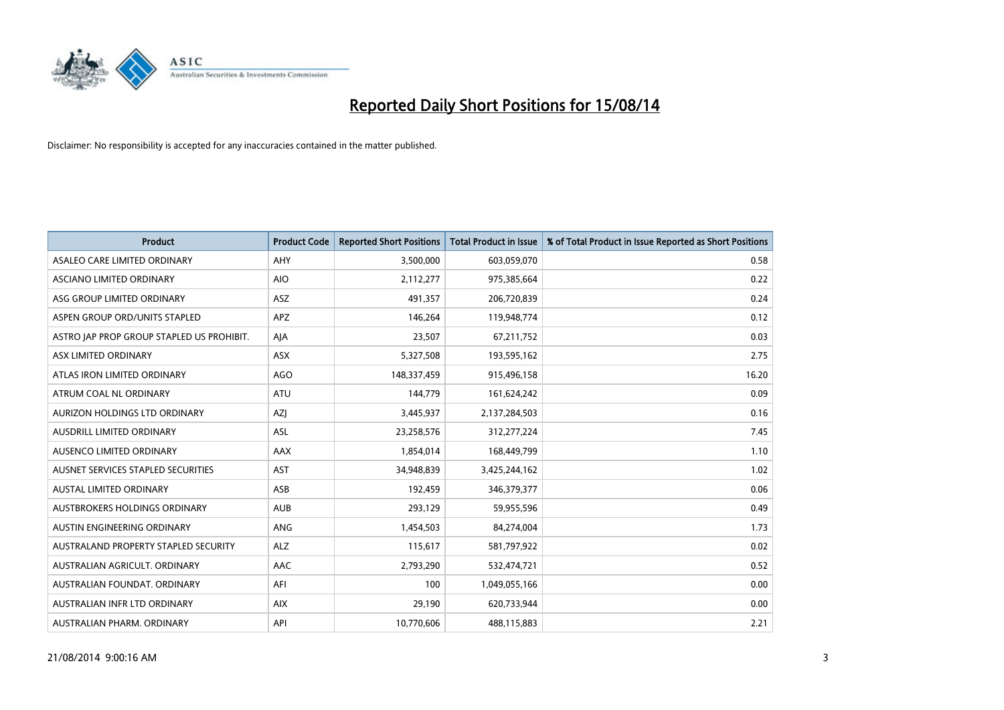

| <b>Product</b>                            | <b>Product Code</b> | <b>Reported Short Positions</b> | <b>Total Product in Issue</b> | % of Total Product in Issue Reported as Short Positions |
|-------------------------------------------|---------------------|---------------------------------|-------------------------------|---------------------------------------------------------|
| ASALEO CARE LIMITED ORDINARY              | AHY                 | 3,500,000                       | 603,059,070                   | 0.58                                                    |
| ASCIANO LIMITED ORDINARY                  | <b>AIO</b>          | 2,112,277                       | 975,385,664                   | 0.22                                                    |
| ASG GROUP LIMITED ORDINARY                | <b>ASZ</b>          | 491,357                         | 206,720,839                   | 0.24                                                    |
| ASPEN GROUP ORD/UNITS STAPLED             | APZ                 | 146,264                         | 119,948,774                   | 0.12                                                    |
| ASTRO JAP PROP GROUP STAPLED US PROHIBIT. | AJA                 | 23,507                          | 67,211,752                    | 0.03                                                    |
| ASX LIMITED ORDINARY                      | ASX                 | 5,327,508                       | 193,595,162                   | 2.75                                                    |
| ATLAS IRON LIMITED ORDINARY               | <b>AGO</b>          | 148,337,459                     | 915,496,158                   | 16.20                                                   |
| ATRUM COAL NL ORDINARY                    | ATU                 | 144,779                         | 161,624,242                   | 0.09                                                    |
| AURIZON HOLDINGS LTD ORDINARY             | AZJ                 | 3,445,937                       | 2,137,284,503                 | 0.16                                                    |
| AUSDRILL LIMITED ORDINARY                 | <b>ASL</b>          | 23,258,576                      | 312,277,224                   | 7.45                                                    |
| AUSENCO LIMITED ORDINARY                  | AAX                 | 1,854,014                       | 168,449,799                   | 1.10                                                    |
| AUSNET SERVICES STAPLED SECURITIES        | <b>AST</b>          | 34,948,839                      | 3,425,244,162                 | 1.02                                                    |
| AUSTAL LIMITED ORDINARY                   | ASB                 | 192,459                         | 346,379,377                   | 0.06                                                    |
| AUSTBROKERS HOLDINGS ORDINARY             | <b>AUB</b>          | 293,129                         | 59,955,596                    | 0.49                                                    |
| AUSTIN ENGINEERING ORDINARY               | ANG                 | 1,454,503                       | 84,274,004                    | 1.73                                                    |
| AUSTRALAND PROPERTY STAPLED SECURITY      | <b>ALZ</b>          | 115,617                         | 581,797,922                   | 0.02                                                    |
| AUSTRALIAN AGRICULT. ORDINARY             | AAC                 | 2,793,290                       | 532,474,721                   | 0.52                                                    |
| AUSTRALIAN FOUNDAT. ORDINARY              | AFI                 | 100                             | 1,049,055,166                 | 0.00                                                    |
| AUSTRALIAN INFR LTD ORDINARY              | <b>AIX</b>          | 29,190                          | 620,733,944                   | 0.00                                                    |
| AUSTRALIAN PHARM. ORDINARY                | API                 | 10,770,606                      | 488,115,883                   | 2.21                                                    |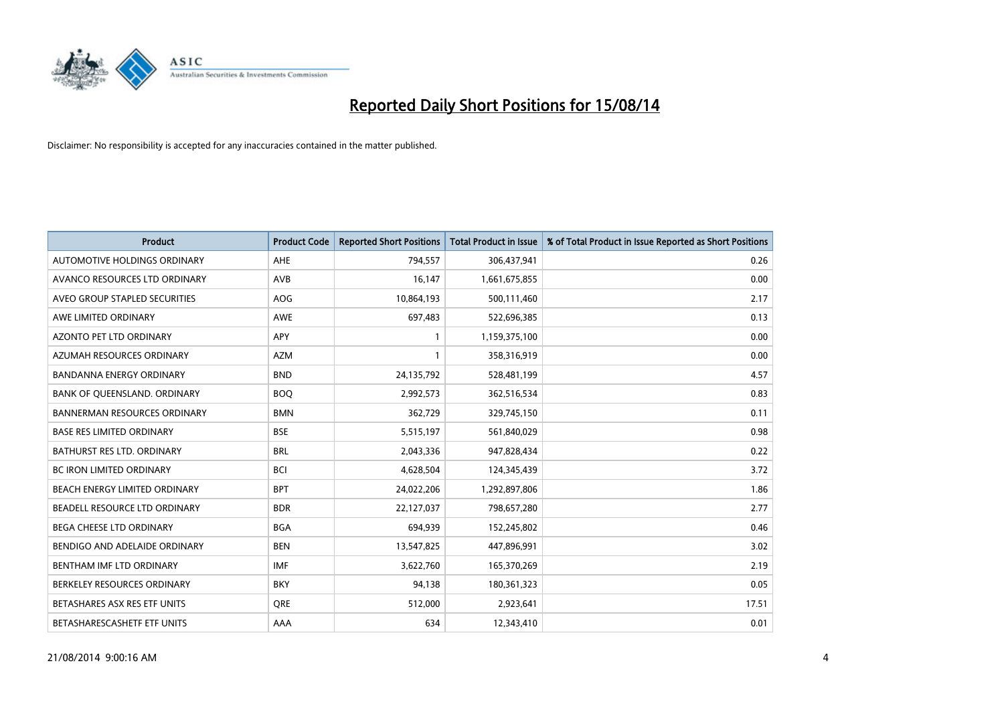

| <b>Product</b>                      | <b>Product Code</b> | <b>Reported Short Positions</b> | <b>Total Product in Issue</b> | % of Total Product in Issue Reported as Short Positions |
|-------------------------------------|---------------------|---------------------------------|-------------------------------|---------------------------------------------------------|
| AUTOMOTIVE HOLDINGS ORDINARY        | AHE                 | 794,557                         | 306,437,941                   | 0.26                                                    |
| AVANCO RESOURCES LTD ORDINARY       | AVB                 | 16,147                          | 1,661,675,855                 | 0.00                                                    |
| AVEO GROUP STAPLED SECURITIES       | AOG                 | 10,864,193                      | 500,111,460                   | 2.17                                                    |
| AWE LIMITED ORDINARY                | <b>AWE</b>          | 697,483                         | 522,696,385                   | 0.13                                                    |
| <b>AZONTO PET LTD ORDINARY</b>      | APY                 | 1                               | 1,159,375,100                 | 0.00                                                    |
| AZUMAH RESOURCES ORDINARY           | <b>AZM</b>          | 1                               | 358,316,919                   | 0.00                                                    |
| <b>BANDANNA ENERGY ORDINARY</b>     | <b>BND</b>          | 24,135,792                      | 528,481,199                   | 4.57                                                    |
| BANK OF QUEENSLAND. ORDINARY        | <b>BOQ</b>          | 2,992,573                       | 362,516,534                   | 0.83                                                    |
| <b>BANNERMAN RESOURCES ORDINARY</b> | <b>BMN</b>          | 362,729                         | 329,745,150                   | 0.11                                                    |
| <b>BASE RES LIMITED ORDINARY</b>    | <b>BSE</b>          | 5,515,197                       | 561,840,029                   | 0.98                                                    |
| <b>BATHURST RES LTD. ORDINARY</b>   | <b>BRL</b>          | 2,043,336                       | 947,828,434                   | 0.22                                                    |
| <b>BC IRON LIMITED ORDINARY</b>     | <b>BCI</b>          | 4,628,504                       | 124,345,439                   | 3.72                                                    |
| BEACH ENERGY LIMITED ORDINARY       | <b>BPT</b>          | 24,022,206                      | 1,292,897,806                 | 1.86                                                    |
| BEADELL RESOURCE LTD ORDINARY       | <b>BDR</b>          | 22,127,037                      | 798,657,280                   | 2.77                                                    |
| BEGA CHEESE LTD ORDINARY            | <b>BGA</b>          | 694,939                         | 152,245,802                   | 0.46                                                    |
| BENDIGO AND ADELAIDE ORDINARY       | <b>BEN</b>          | 13,547,825                      | 447,896,991                   | 3.02                                                    |
| BENTHAM IMF LTD ORDINARY            | <b>IMF</b>          | 3,622,760                       | 165,370,269                   | 2.19                                                    |
| BERKELEY RESOURCES ORDINARY         | <b>BKY</b>          | 94,138                          | 180,361,323                   | 0.05                                                    |
| BETASHARES ASX RES ETF UNITS        | <b>ORE</b>          | 512,000                         | 2,923,641                     | 17.51                                                   |
| BETASHARESCASHETF ETF UNITS         | AAA                 | 634                             | 12,343,410                    | 0.01                                                    |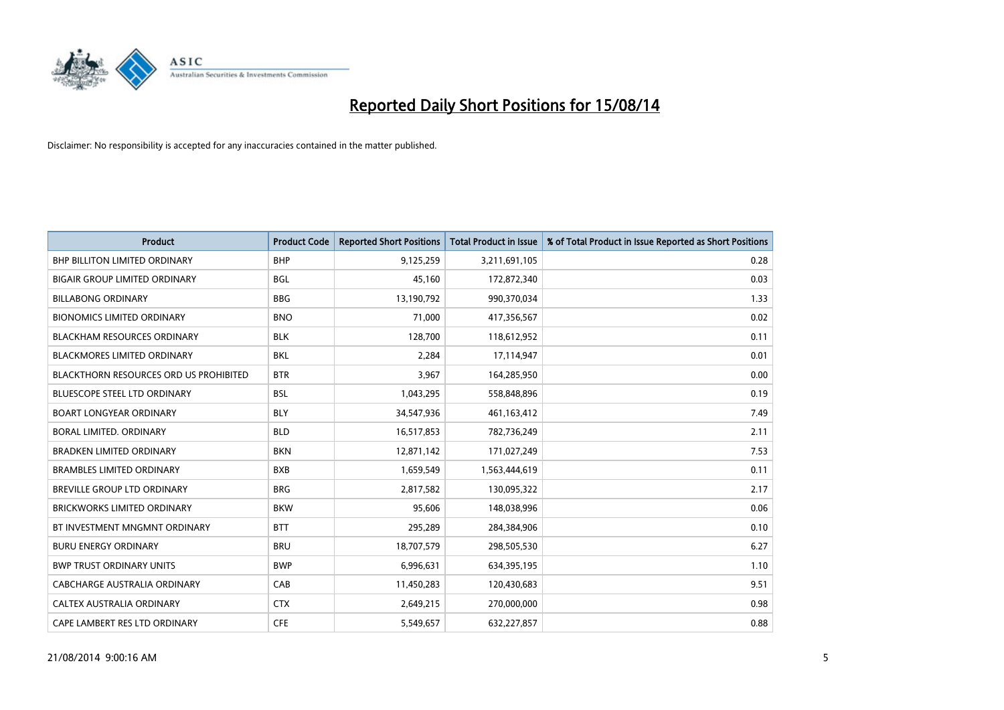

| <b>Product</b>                                | <b>Product Code</b> | <b>Reported Short Positions</b> | <b>Total Product in Issue</b> | % of Total Product in Issue Reported as Short Positions |
|-----------------------------------------------|---------------------|---------------------------------|-------------------------------|---------------------------------------------------------|
| <b>BHP BILLITON LIMITED ORDINARY</b>          | <b>BHP</b>          | 9,125,259                       | 3,211,691,105                 | 0.28                                                    |
| <b>BIGAIR GROUP LIMITED ORDINARY</b>          | <b>BGL</b>          | 45,160                          | 172,872,340                   | 0.03                                                    |
| <b>BILLABONG ORDINARY</b>                     | <b>BBG</b>          | 13,190,792                      | 990,370,034                   | 1.33                                                    |
| <b>BIONOMICS LIMITED ORDINARY</b>             | <b>BNO</b>          | 71,000                          | 417,356,567                   | 0.02                                                    |
| <b>BLACKHAM RESOURCES ORDINARY</b>            | <b>BLK</b>          | 128,700                         | 118,612,952                   | 0.11                                                    |
| <b>BLACKMORES LIMITED ORDINARY</b>            | <b>BKL</b>          | 2,284                           | 17,114,947                    | 0.01                                                    |
| <b>BLACKTHORN RESOURCES ORD US PROHIBITED</b> | <b>BTR</b>          | 3,967                           | 164,285,950                   | 0.00                                                    |
| <b>BLUESCOPE STEEL LTD ORDINARY</b>           | <b>BSL</b>          | 1,043,295                       | 558,848,896                   | 0.19                                                    |
| <b>BOART LONGYEAR ORDINARY</b>                | <b>BLY</b>          | 34,547,936                      | 461,163,412                   | 7.49                                                    |
| <b>BORAL LIMITED, ORDINARY</b>                | <b>BLD</b>          | 16,517,853                      | 782,736,249                   | 2.11                                                    |
| <b>BRADKEN LIMITED ORDINARY</b>               | <b>BKN</b>          | 12,871,142                      | 171,027,249                   | 7.53                                                    |
| <b>BRAMBLES LIMITED ORDINARY</b>              | <b>BXB</b>          | 1,659,549                       | 1,563,444,619                 | 0.11                                                    |
| BREVILLE GROUP LTD ORDINARY                   | <b>BRG</b>          | 2,817,582                       | 130,095,322                   | 2.17                                                    |
| <b>BRICKWORKS LIMITED ORDINARY</b>            | <b>BKW</b>          | 95,606                          | 148,038,996                   | 0.06                                                    |
| BT INVESTMENT MNGMNT ORDINARY                 | <b>BTT</b>          | 295,289                         | 284,384,906                   | 0.10                                                    |
| <b>BURU ENERGY ORDINARY</b>                   | <b>BRU</b>          | 18,707,579                      | 298,505,530                   | 6.27                                                    |
| <b>BWP TRUST ORDINARY UNITS</b>               | <b>BWP</b>          | 6,996,631                       | 634,395,195                   | 1.10                                                    |
| <b>CABCHARGE AUSTRALIA ORDINARY</b>           | CAB                 | 11,450,283                      | 120,430,683                   | 9.51                                                    |
| CALTEX AUSTRALIA ORDINARY                     | <b>CTX</b>          | 2,649,215                       | 270,000,000                   | 0.98                                                    |
| CAPE LAMBERT RES LTD ORDINARY                 | <b>CFE</b>          | 5,549,657                       | 632,227,857                   | 0.88                                                    |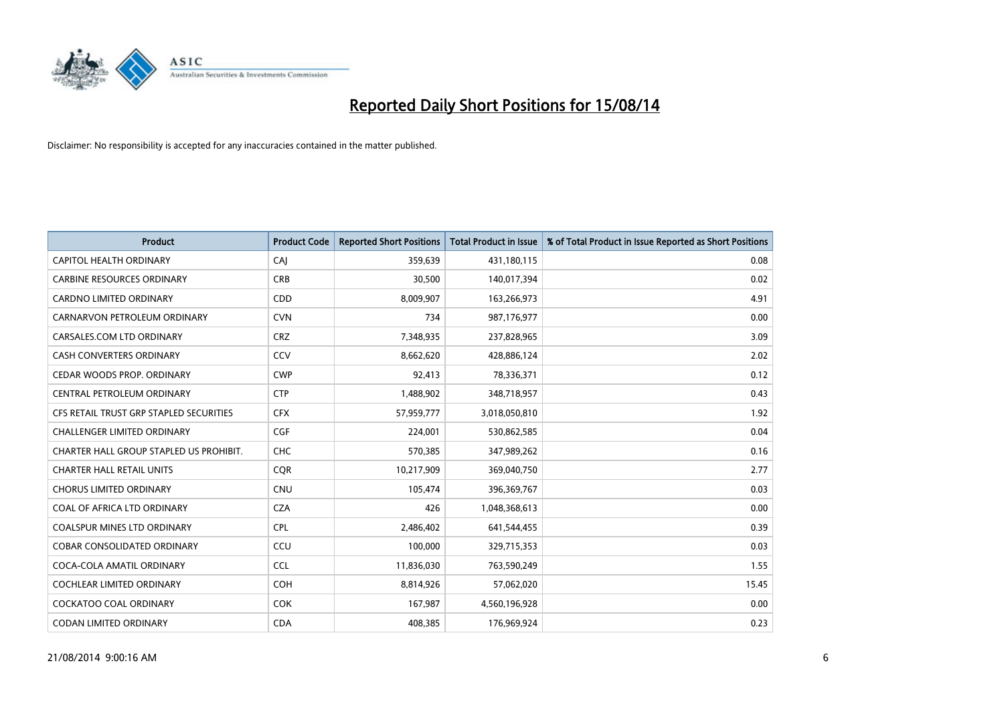

| <b>Product</b>                          | <b>Product Code</b> | <b>Reported Short Positions</b> | <b>Total Product in Issue</b> | % of Total Product in Issue Reported as Short Positions |
|-----------------------------------------|---------------------|---------------------------------|-------------------------------|---------------------------------------------------------|
| <b>CAPITOL HEALTH ORDINARY</b>          | CAJ                 | 359,639                         | 431,180,115                   | 0.08                                                    |
| <b>CARBINE RESOURCES ORDINARY</b>       | <b>CRB</b>          | 30,500                          | 140,017,394                   | 0.02                                                    |
| CARDNO LIMITED ORDINARY                 | CDD                 | 8,009,907                       | 163,266,973                   | 4.91                                                    |
| CARNARVON PETROLEUM ORDINARY            | <b>CVN</b>          | 734                             | 987,176,977                   | 0.00                                                    |
| CARSALES.COM LTD ORDINARY               | <b>CRZ</b>          | 7,348,935                       | 237,828,965                   | 3.09                                                    |
| <b>CASH CONVERTERS ORDINARY</b>         | CCV                 | 8,662,620                       | 428,886,124                   | 2.02                                                    |
| CEDAR WOODS PROP. ORDINARY              | <b>CWP</b>          | 92,413                          | 78,336,371                    | 0.12                                                    |
| CENTRAL PETROLEUM ORDINARY              | <b>CTP</b>          | 1,488,902                       | 348,718,957                   | 0.43                                                    |
| CFS RETAIL TRUST GRP STAPLED SECURITIES | <b>CFX</b>          | 57,959,777                      | 3,018,050,810                 | 1.92                                                    |
| <b>CHALLENGER LIMITED ORDINARY</b>      | <b>CGF</b>          | 224,001                         | 530,862,585                   | 0.04                                                    |
| CHARTER HALL GROUP STAPLED US PROHIBIT. | <b>CHC</b>          | 570,385                         | 347,989,262                   | 0.16                                                    |
| <b>CHARTER HALL RETAIL UNITS</b>        | <b>COR</b>          | 10,217,909                      | 369,040,750                   | 2.77                                                    |
| <b>CHORUS LIMITED ORDINARY</b>          | <b>CNU</b>          | 105,474                         | 396,369,767                   | 0.03                                                    |
| COAL OF AFRICA LTD ORDINARY             | <b>CZA</b>          | 426                             | 1,048,368,613                 | 0.00                                                    |
| <b>COALSPUR MINES LTD ORDINARY</b>      | CPL                 | 2,486,402                       | 641,544,455                   | 0.39                                                    |
| COBAR CONSOLIDATED ORDINARY             | CCU                 | 100,000                         | 329,715,353                   | 0.03                                                    |
| COCA-COLA AMATIL ORDINARY               | <b>CCL</b>          | 11,836,030                      | 763,590,249                   | 1.55                                                    |
| COCHLEAR LIMITED ORDINARY               | <b>COH</b>          | 8,814,926                       | 57,062,020                    | 15.45                                                   |
| <b>COCKATOO COAL ORDINARY</b>           | <b>COK</b>          | 167,987                         | 4,560,196,928                 | 0.00                                                    |
| <b>CODAN LIMITED ORDINARY</b>           | <b>CDA</b>          | 408,385                         | 176,969,924                   | 0.23                                                    |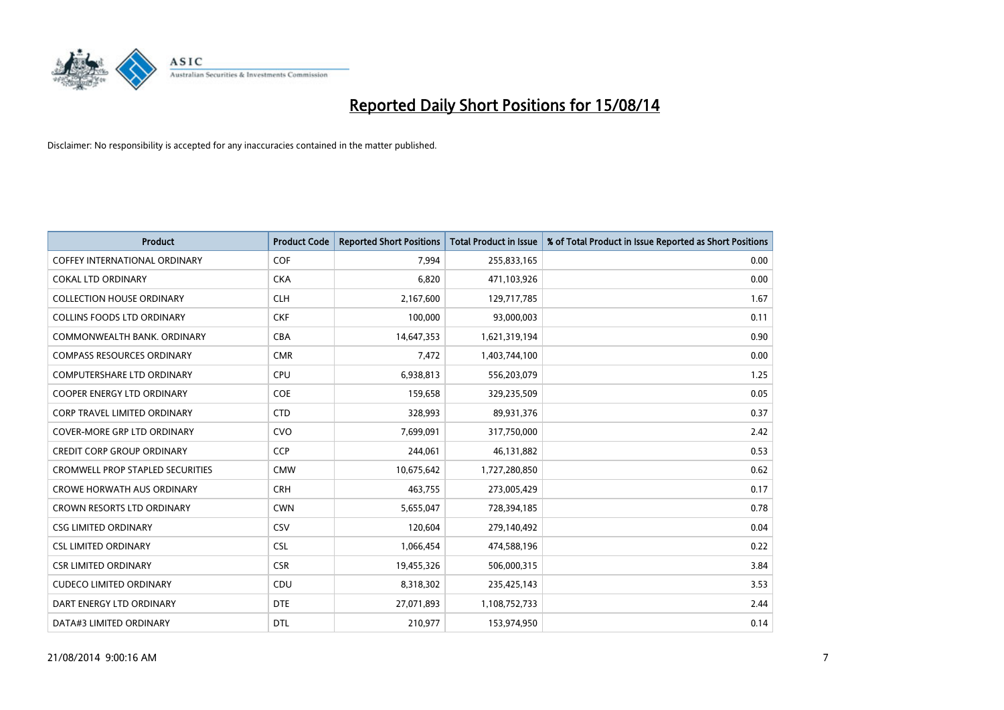

| Product                                 | <b>Product Code</b> | <b>Reported Short Positions</b> | <b>Total Product in Issue</b> | % of Total Product in Issue Reported as Short Positions |
|-----------------------------------------|---------------------|---------------------------------|-------------------------------|---------------------------------------------------------|
| <b>COFFEY INTERNATIONAL ORDINARY</b>    | COF                 | 7,994                           | 255,833,165                   | 0.00                                                    |
| <b>COKAL LTD ORDINARY</b>               | <b>CKA</b>          | 6,820                           | 471,103,926                   | 0.00                                                    |
| <b>COLLECTION HOUSE ORDINARY</b>        | <b>CLH</b>          | 2,167,600                       | 129,717,785                   | 1.67                                                    |
| <b>COLLINS FOODS LTD ORDINARY</b>       | <b>CKF</b>          | 100,000                         | 93,000,003                    | 0.11                                                    |
| COMMONWEALTH BANK, ORDINARY             | <b>CBA</b>          | 14,647,353                      | 1,621,319,194                 | 0.90                                                    |
| <b>COMPASS RESOURCES ORDINARY</b>       | <b>CMR</b>          | 7,472                           | 1,403,744,100                 | 0.00                                                    |
| <b>COMPUTERSHARE LTD ORDINARY</b>       | <b>CPU</b>          | 6,938,813                       | 556,203,079                   | 1.25                                                    |
| <b>COOPER ENERGY LTD ORDINARY</b>       | <b>COE</b>          | 159,658                         | 329,235,509                   | 0.05                                                    |
| <b>CORP TRAVEL LIMITED ORDINARY</b>     | <b>CTD</b>          | 328,993                         | 89,931,376                    | 0.37                                                    |
| <b>COVER-MORE GRP LTD ORDINARY</b>      | <b>CVO</b>          | 7,699,091                       | 317,750,000                   | 2.42                                                    |
| <b>CREDIT CORP GROUP ORDINARY</b>       | <b>CCP</b>          | 244,061                         | 46,131,882                    | 0.53                                                    |
| <b>CROMWELL PROP STAPLED SECURITIES</b> | <b>CMW</b>          | 10,675,642                      | 1,727,280,850                 | 0.62                                                    |
| <b>CROWE HORWATH AUS ORDINARY</b>       | <b>CRH</b>          | 463,755                         | 273,005,429                   | 0.17                                                    |
| <b>CROWN RESORTS LTD ORDINARY</b>       | <b>CWN</b>          | 5,655,047                       | 728,394,185                   | 0.78                                                    |
| <b>CSG LIMITED ORDINARY</b>             | CSV                 | 120,604                         | 279,140,492                   | 0.04                                                    |
| <b>CSL LIMITED ORDINARY</b>             | <b>CSL</b>          | 1,066,454                       | 474,588,196                   | 0.22                                                    |
| <b>CSR LIMITED ORDINARY</b>             | <b>CSR</b>          | 19,455,326                      | 506,000,315                   | 3.84                                                    |
| <b>CUDECO LIMITED ORDINARY</b>          | <b>CDU</b>          | 8,318,302                       | 235,425,143                   | 3.53                                                    |
| DART ENERGY LTD ORDINARY                | <b>DTE</b>          | 27,071,893                      | 1,108,752,733                 | 2.44                                                    |
| DATA#3 LIMITED ORDINARY                 | <b>DTL</b>          | 210,977                         | 153,974,950                   | 0.14                                                    |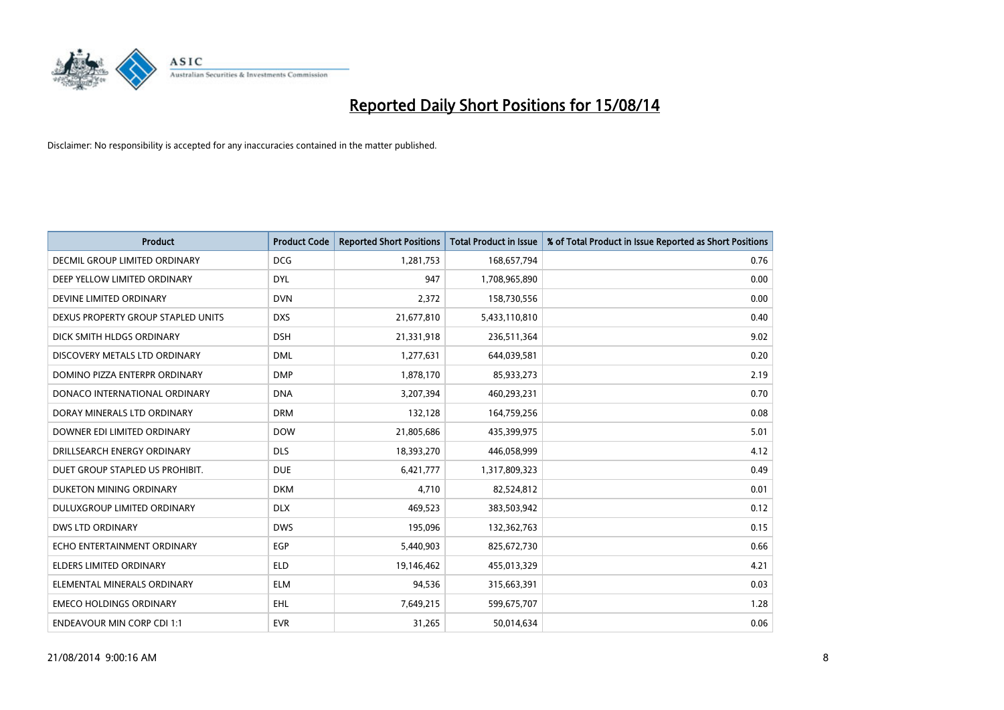

| <b>Product</b>                       | <b>Product Code</b> | <b>Reported Short Positions</b> | <b>Total Product in Issue</b> | % of Total Product in Issue Reported as Short Positions |
|--------------------------------------|---------------------|---------------------------------|-------------------------------|---------------------------------------------------------|
| <b>DECMIL GROUP LIMITED ORDINARY</b> | <b>DCG</b>          | 1,281,753                       | 168,657,794                   | 0.76                                                    |
| DEEP YELLOW LIMITED ORDINARY         | <b>DYL</b>          | 947                             | 1,708,965,890                 | 0.00                                                    |
| DEVINE LIMITED ORDINARY              | <b>DVN</b>          | 2,372                           | 158,730,556                   | 0.00                                                    |
| DEXUS PROPERTY GROUP STAPLED UNITS   | <b>DXS</b>          | 21,677,810                      | 5,433,110,810                 | 0.40                                                    |
| DICK SMITH HLDGS ORDINARY            | <b>DSH</b>          | 21,331,918                      | 236,511,364                   | 9.02                                                    |
| DISCOVERY METALS LTD ORDINARY        | <b>DML</b>          | 1,277,631                       | 644,039,581                   | 0.20                                                    |
| DOMINO PIZZA ENTERPR ORDINARY        | <b>DMP</b>          | 1,878,170                       | 85,933,273                    | 2.19                                                    |
| DONACO INTERNATIONAL ORDINARY        | <b>DNA</b>          | 3,207,394                       | 460,293,231                   | 0.70                                                    |
| DORAY MINERALS LTD ORDINARY          | <b>DRM</b>          | 132,128                         | 164,759,256                   | 0.08                                                    |
| DOWNER EDI LIMITED ORDINARY          | <b>DOW</b>          | 21,805,686                      | 435,399,975                   | 5.01                                                    |
| DRILLSEARCH ENERGY ORDINARY          | <b>DLS</b>          | 18,393,270                      | 446,058,999                   | 4.12                                                    |
| DUET GROUP STAPLED US PROHIBIT.      | <b>DUE</b>          | 6,421,777                       | 1,317,809,323                 | 0.49                                                    |
| DUKETON MINING ORDINARY              | <b>DKM</b>          | 4,710                           | 82,524,812                    | 0.01                                                    |
| DULUXGROUP LIMITED ORDINARY          | <b>DLX</b>          | 469,523                         | 383,503,942                   | 0.12                                                    |
| <b>DWS LTD ORDINARY</b>              | <b>DWS</b>          | 195,096                         | 132,362,763                   | 0.15                                                    |
| ECHO ENTERTAINMENT ORDINARY          | <b>EGP</b>          | 5,440,903                       | 825,672,730                   | 0.66                                                    |
| ELDERS LIMITED ORDINARY              | <b>ELD</b>          | 19,146,462                      | 455,013,329                   | 4.21                                                    |
| ELEMENTAL MINERALS ORDINARY          | ELM                 | 94,536                          | 315,663,391                   | 0.03                                                    |
| <b>EMECO HOLDINGS ORDINARY</b>       | <b>EHL</b>          | 7,649,215                       | 599,675,707                   | 1.28                                                    |
| <b>ENDEAVOUR MIN CORP CDI 1:1</b>    | <b>EVR</b>          | 31,265                          | 50,014,634                    | 0.06                                                    |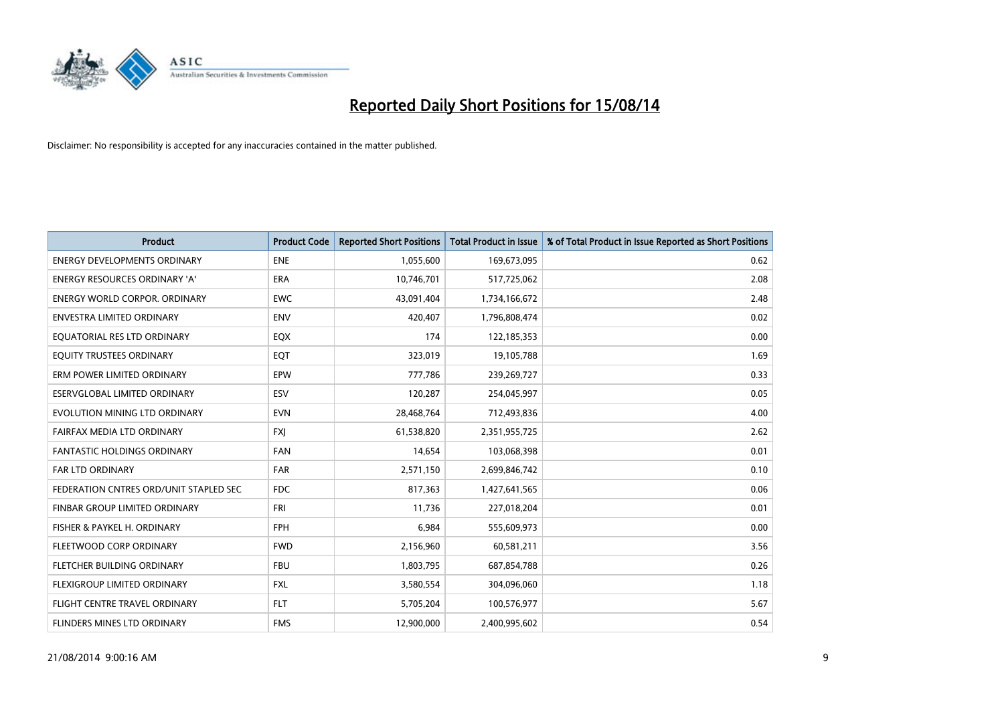

| <b>Product</b>                         | <b>Product Code</b> | <b>Reported Short Positions</b> | <b>Total Product in Issue</b> | % of Total Product in Issue Reported as Short Positions |
|----------------------------------------|---------------------|---------------------------------|-------------------------------|---------------------------------------------------------|
| <b>ENERGY DEVELOPMENTS ORDINARY</b>    | <b>ENE</b>          | 1,055,600                       | 169,673,095                   | 0.62                                                    |
| ENERGY RESOURCES ORDINARY 'A'          | ERA                 | 10,746,701                      | 517,725,062                   | 2.08                                                    |
| <b>ENERGY WORLD CORPOR, ORDINARY</b>   | <b>EWC</b>          | 43,091,404                      | 1,734,166,672                 | 2.48                                                    |
| <b>ENVESTRA LIMITED ORDINARY</b>       | <b>ENV</b>          | 420,407                         | 1,796,808,474                 | 0.02                                                    |
| EQUATORIAL RES LTD ORDINARY            | EQX                 | 174                             | 122,185,353                   | 0.00                                                    |
| EQUITY TRUSTEES ORDINARY               | EQT                 | 323,019                         | 19,105,788                    | 1.69                                                    |
| ERM POWER LIMITED ORDINARY             | <b>EPW</b>          | 777,786                         | 239,269,727                   | 0.33                                                    |
| ESERVGLOBAL LIMITED ORDINARY           | ESV                 | 120,287                         | 254,045,997                   | 0.05                                                    |
| EVOLUTION MINING LTD ORDINARY          | <b>EVN</b>          | 28,468,764                      | 712,493,836                   | 4.00                                                    |
| FAIRFAX MEDIA LTD ORDINARY             | <b>FXI</b>          | 61,538,820                      | 2,351,955,725                 | 2.62                                                    |
| FANTASTIC HOLDINGS ORDINARY            | <b>FAN</b>          | 14,654                          | 103,068,398                   | 0.01                                                    |
| <b>FAR LTD ORDINARY</b>                | <b>FAR</b>          | 2,571,150                       | 2,699,846,742                 | 0.10                                                    |
| FEDERATION CNTRES ORD/UNIT STAPLED SEC | <b>FDC</b>          | 817,363                         | 1,427,641,565                 | 0.06                                                    |
| FINBAR GROUP LIMITED ORDINARY          | <b>FRI</b>          | 11,736                          | 227,018,204                   | 0.01                                                    |
| FISHER & PAYKEL H. ORDINARY            | <b>FPH</b>          | 6,984                           | 555,609,973                   | 0.00                                                    |
| FLEETWOOD CORP ORDINARY                | <b>FWD</b>          | 2,156,960                       | 60,581,211                    | 3.56                                                    |
| FLETCHER BUILDING ORDINARY             | <b>FBU</b>          | 1,803,795                       | 687,854,788                   | 0.26                                                    |
| FLEXIGROUP LIMITED ORDINARY            | <b>FXL</b>          | 3,580,554                       | 304,096,060                   | 1.18                                                    |
| FLIGHT CENTRE TRAVEL ORDINARY          | <b>FLT</b>          | 5,705,204                       | 100,576,977                   | 5.67                                                    |
| FLINDERS MINES LTD ORDINARY            | <b>FMS</b>          | 12,900,000                      | 2,400,995,602                 | 0.54                                                    |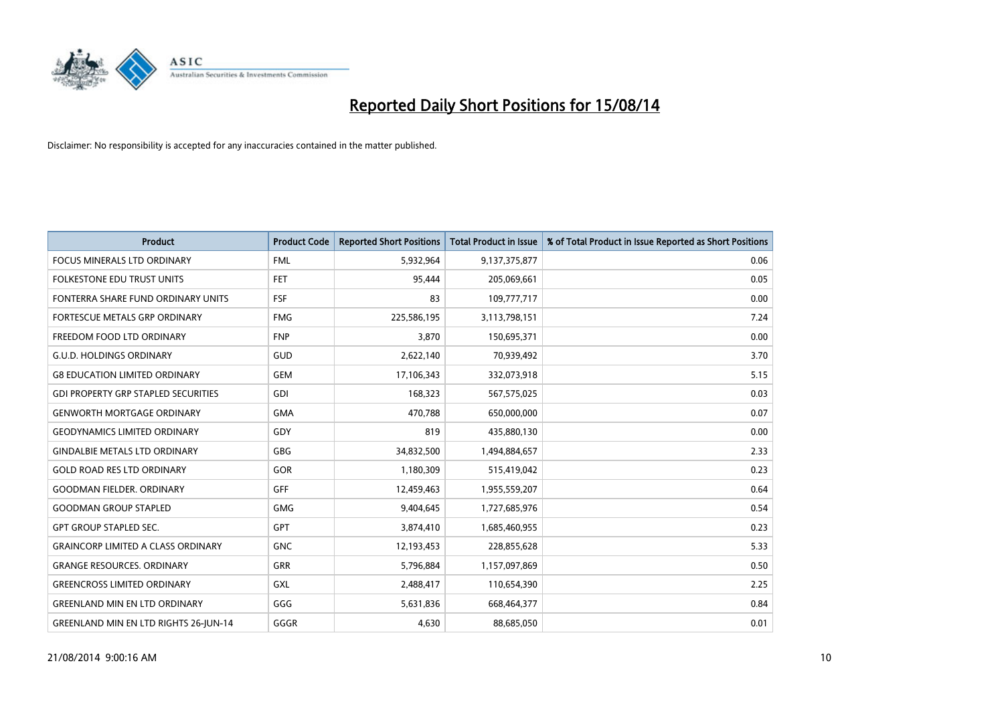

| <b>Product</b>                               | <b>Product Code</b> | <b>Reported Short Positions</b> | <b>Total Product in Issue</b> | % of Total Product in Issue Reported as Short Positions |
|----------------------------------------------|---------------------|---------------------------------|-------------------------------|---------------------------------------------------------|
| <b>FOCUS MINERALS LTD ORDINARY</b>           | <b>FML</b>          | 5,932,964                       | 9,137,375,877                 | 0.06                                                    |
| FOLKESTONE EDU TRUST UNITS                   | <b>FET</b>          | 95,444                          | 205,069,661                   | 0.05                                                    |
| FONTERRA SHARE FUND ORDINARY UNITS           | <b>FSF</b>          | 83                              | 109,777,717                   | 0.00                                                    |
| FORTESCUE METALS GRP ORDINARY                | <b>FMG</b>          | 225,586,195                     | 3,113,798,151                 | 7.24                                                    |
| FREEDOM FOOD LTD ORDINARY                    | <b>FNP</b>          | 3,870                           | 150,695,371                   | 0.00                                                    |
| <b>G.U.D. HOLDINGS ORDINARY</b>              | GUD                 | 2,622,140                       | 70,939,492                    | 3.70                                                    |
| <b>G8 EDUCATION LIMITED ORDINARY</b>         | <b>GEM</b>          | 17,106,343                      | 332,073,918                   | 5.15                                                    |
| <b>GDI PROPERTY GRP STAPLED SECURITIES</b>   | GDI                 | 168,323                         | 567,575,025                   | 0.03                                                    |
| <b>GENWORTH MORTGAGE ORDINARY</b>            | <b>GMA</b>          | 470,788                         | 650,000,000                   | 0.07                                                    |
| <b>GEODYNAMICS LIMITED ORDINARY</b>          | GDY                 | 819                             | 435,880,130                   | 0.00                                                    |
| <b>GINDALBIE METALS LTD ORDINARY</b>         | GBG                 | 34,832,500                      | 1,494,884,657                 | 2.33                                                    |
| <b>GOLD ROAD RES LTD ORDINARY</b>            | GOR                 | 1,180,309                       | 515,419,042                   | 0.23                                                    |
| <b>GOODMAN FIELDER. ORDINARY</b>             | <b>GFF</b>          | 12,459,463                      | 1,955,559,207                 | 0.64                                                    |
| <b>GOODMAN GROUP STAPLED</b>                 | GMG                 | 9,404,645                       | 1,727,685,976                 | 0.54                                                    |
| <b>GPT GROUP STAPLED SEC.</b>                | <b>GPT</b>          | 3,874,410                       | 1,685,460,955                 | 0.23                                                    |
| <b>GRAINCORP LIMITED A CLASS ORDINARY</b>    | <b>GNC</b>          | 12,193,453                      | 228,855,628                   | 5.33                                                    |
| <b>GRANGE RESOURCES. ORDINARY</b>            | GRR                 | 5,796,884                       | 1,157,097,869                 | 0.50                                                    |
| <b>GREENCROSS LIMITED ORDINARY</b>           | GXL                 | 2,488,417                       | 110,654,390                   | 2.25                                                    |
| <b>GREENLAND MIN EN LTD ORDINARY</b>         | GGG                 | 5,631,836                       | 668,464,377                   | 0.84                                                    |
| <b>GREENLAND MIN EN LTD RIGHTS 26-JUN-14</b> | GGGR                | 4,630                           | 88,685,050                    | 0.01                                                    |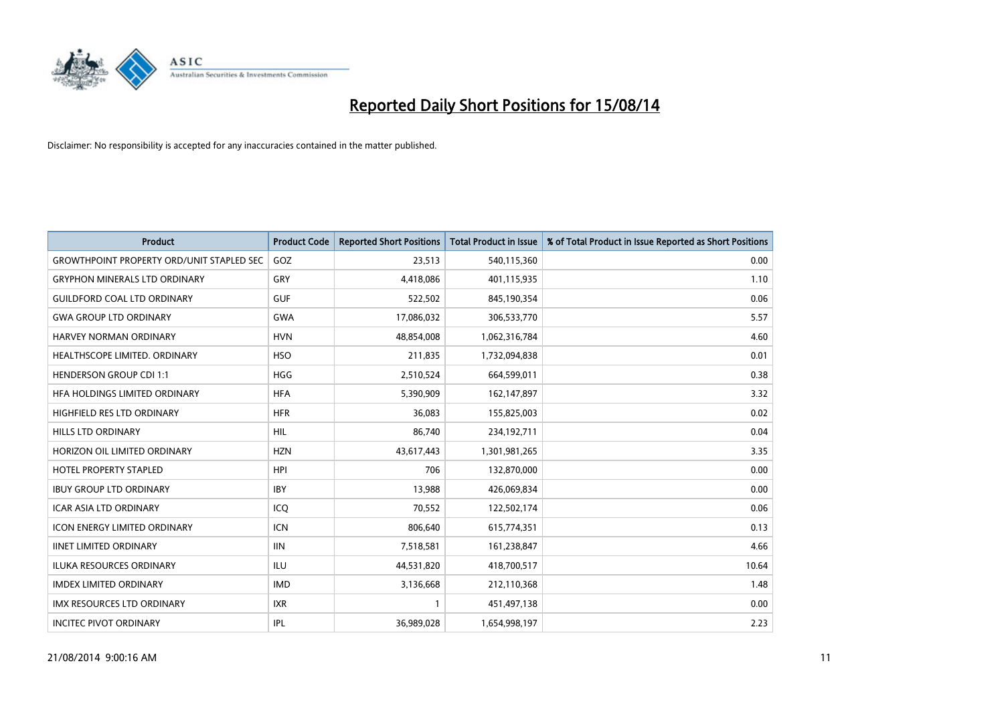

| Product                                          | <b>Product Code</b> | <b>Reported Short Positions</b> | <b>Total Product in Issue</b> | % of Total Product in Issue Reported as Short Positions |
|--------------------------------------------------|---------------------|---------------------------------|-------------------------------|---------------------------------------------------------|
| <b>GROWTHPOINT PROPERTY ORD/UNIT STAPLED SEC</b> | GOZ                 | 23,513                          | 540,115,360                   | 0.00                                                    |
| <b>GRYPHON MINERALS LTD ORDINARY</b>             | GRY                 | 4,418,086                       | 401,115,935                   | 1.10                                                    |
| <b>GUILDFORD COAL LTD ORDINARY</b>               | <b>GUF</b>          | 522,502                         | 845,190,354                   | 0.06                                                    |
| <b>GWA GROUP LTD ORDINARY</b>                    | <b>GWA</b>          | 17,086,032                      | 306,533,770                   | 5.57                                                    |
| HARVEY NORMAN ORDINARY                           | <b>HVN</b>          | 48,854,008                      | 1,062,316,784                 | 4.60                                                    |
| HEALTHSCOPE LIMITED. ORDINARY                    | <b>HSO</b>          | 211,835                         | 1,732,094,838                 | 0.01                                                    |
| <b>HENDERSON GROUP CDI 1:1</b>                   | HGG                 | 2,510,524                       | 664,599,011                   | 0.38                                                    |
| HFA HOLDINGS LIMITED ORDINARY                    | <b>HFA</b>          | 5,390,909                       | 162,147,897                   | 3.32                                                    |
| HIGHFIELD RES LTD ORDINARY                       | <b>HFR</b>          | 36,083                          | 155,825,003                   | 0.02                                                    |
| <b>HILLS LTD ORDINARY</b>                        | <b>HIL</b>          | 86,740                          | 234,192,711                   | 0.04                                                    |
| HORIZON OIL LIMITED ORDINARY                     | <b>HZN</b>          | 43,617,443                      | 1,301,981,265                 | 3.35                                                    |
| <b>HOTEL PROPERTY STAPLED</b>                    | <b>HPI</b>          | 706                             | 132,870,000                   | 0.00                                                    |
| <b>IBUY GROUP LTD ORDINARY</b>                   | <b>IBY</b>          | 13,988                          | 426,069,834                   | 0.00                                                    |
| <b>ICAR ASIA LTD ORDINARY</b>                    | ICQ                 | 70,552                          | 122,502,174                   | 0.06                                                    |
| <b>ICON ENERGY LIMITED ORDINARY</b>              | <b>ICN</b>          | 806,640                         | 615,774,351                   | 0.13                                                    |
| <b>IINET LIMITED ORDINARY</b>                    | <b>IIN</b>          | 7,518,581                       | 161,238,847                   | 4.66                                                    |
| ILUKA RESOURCES ORDINARY                         | ILU                 | 44,531,820                      | 418,700,517                   | 10.64                                                   |
| <b>IMDEX LIMITED ORDINARY</b>                    | <b>IMD</b>          | 3,136,668                       | 212,110,368                   | 1.48                                                    |
| <b>IMX RESOURCES LTD ORDINARY</b>                | <b>IXR</b>          | $\mathbf{1}$                    | 451,497,138                   | 0.00                                                    |
| <b>INCITEC PIVOT ORDINARY</b>                    | IPL                 | 36,989,028                      | 1,654,998,197                 | 2.23                                                    |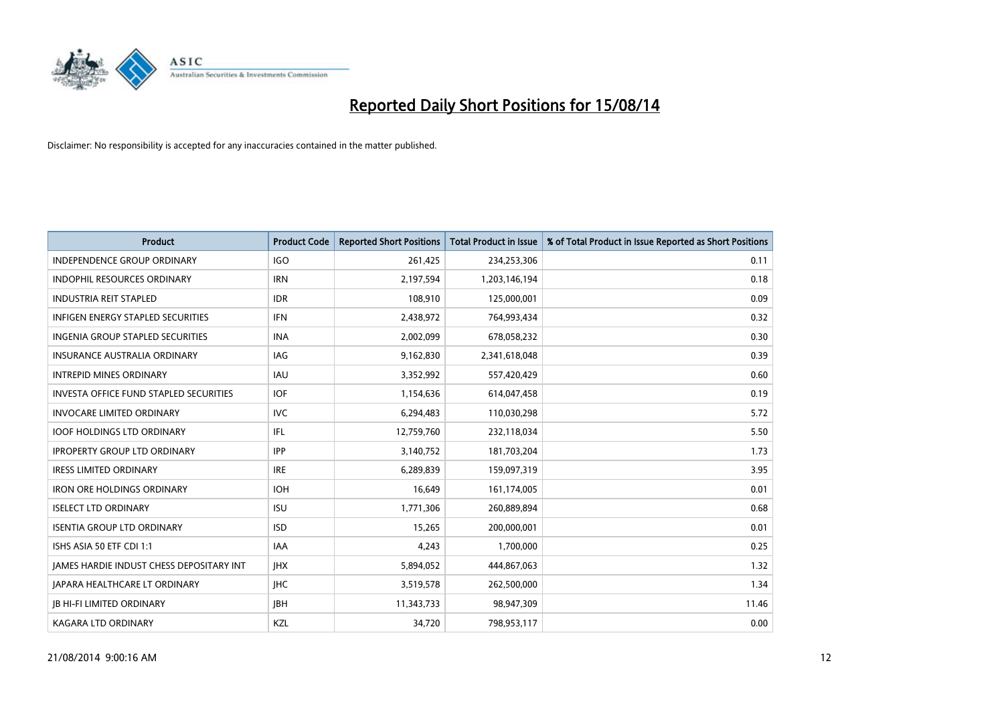

| <b>Product</b>                                | <b>Product Code</b> | <b>Reported Short Positions</b> | <b>Total Product in Issue</b> | % of Total Product in Issue Reported as Short Positions |
|-----------------------------------------------|---------------------|---------------------------------|-------------------------------|---------------------------------------------------------|
| <b>INDEPENDENCE GROUP ORDINARY</b>            | <b>IGO</b>          | 261,425                         | 234,253,306                   | 0.11                                                    |
| INDOPHIL RESOURCES ORDINARY                   | <b>IRN</b>          | 2,197,594                       | 1,203,146,194                 | 0.18                                                    |
| <b>INDUSTRIA REIT STAPLED</b>                 | <b>IDR</b>          | 108,910                         | 125,000,001                   | 0.09                                                    |
| <b>INFIGEN ENERGY STAPLED SECURITIES</b>      | <b>IFN</b>          | 2,438,972                       | 764,993,434                   | 0.32                                                    |
| INGENIA GROUP STAPLED SECURITIES              | <b>INA</b>          | 2,002,099                       | 678,058,232                   | 0.30                                                    |
| <b>INSURANCE AUSTRALIA ORDINARY</b>           | <b>IAG</b>          | 9,162,830                       | 2,341,618,048                 | 0.39                                                    |
| <b>INTREPID MINES ORDINARY</b>                | <b>IAU</b>          | 3,352,992                       | 557,420,429                   | 0.60                                                    |
| <b>INVESTA OFFICE FUND STAPLED SECURITIES</b> | <b>IOF</b>          | 1,154,636                       | 614,047,458                   | 0.19                                                    |
| <b>INVOCARE LIMITED ORDINARY</b>              | <b>IVC</b>          | 6,294,483                       | 110,030,298                   | 5.72                                                    |
| <b>IOOF HOLDINGS LTD ORDINARY</b>             | IFL                 | 12,759,760                      | 232,118,034                   | 5.50                                                    |
| <b>IPROPERTY GROUP LTD ORDINARY</b>           | <b>IPP</b>          | 3,140,752                       | 181,703,204                   | 1.73                                                    |
| <b>IRESS LIMITED ORDINARY</b>                 | <b>IRE</b>          | 6,289,839                       | 159,097,319                   | 3.95                                                    |
| <b>IRON ORE HOLDINGS ORDINARY</b>             | <b>IOH</b>          | 16,649                          | 161,174,005                   | 0.01                                                    |
| <b>ISELECT LTD ORDINARY</b>                   | <b>ISU</b>          | 1,771,306                       | 260,889,894                   | 0.68                                                    |
| <b>ISENTIA GROUP LTD ORDINARY</b>             | <b>ISD</b>          | 15,265                          | 200,000,001                   | 0.01                                                    |
| ISHS ASIA 50 ETF CDI 1:1                      | <b>IAA</b>          | 4,243                           | 1,700,000                     | 0.25                                                    |
| JAMES HARDIE INDUST CHESS DEPOSITARY INT      | <b>IHX</b>          | 5,894,052                       | 444,867,063                   | 1.32                                                    |
| JAPARA HEALTHCARE LT ORDINARY                 | <b>IHC</b>          | 3,519,578                       | 262,500,000                   | 1.34                                                    |
| <b>JB HI-FI LIMITED ORDINARY</b>              | <b>IBH</b>          | 11,343,733                      | 98,947,309                    | 11.46                                                   |
| <b>KAGARA LTD ORDINARY</b>                    | KZL                 | 34,720                          | 798,953,117                   | 0.00                                                    |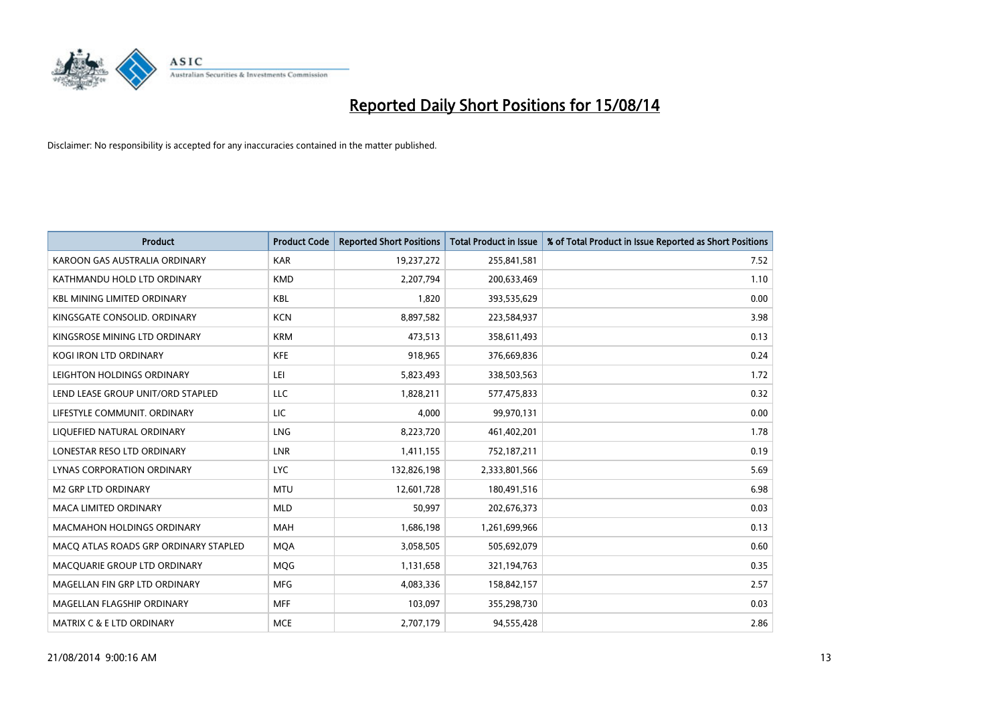

| <b>Product</b>                        | <b>Product Code</b> | <b>Reported Short Positions</b> | <b>Total Product in Issue</b> | % of Total Product in Issue Reported as Short Positions |
|---------------------------------------|---------------------|---------------------------------|-------------------------------|---------------------------------------------------------|
| KAROON GAS AUSTRALIA ORDINARY         | <b>KAR</b>          | 19,237,272                      | 255,841,581                   | 7.52                                                    |
| KATHMANDU HOLD LTD ORDINARY           | <b>KMD</b>          | 2,207,794                       | 200,633,469                   | 1.10                                                    |
| <b>KBL MINING LIMITED ORDINARY</b>    | <b>KBL</b>          | 1,820                           | 393,535,629                   | 0.00                                                    |
| KINGSGATE CONSOLID. ORDINARY          | <b>KCN</b>          | 8,897,582                       | 223,584,937                   | 3.98                                                    |
| KINGSROSE MINING LTD ORDINARY         | <b>KRM</b>          | 473,513                         | 358,611,493                   | 0.13                                                    |
| <b>KOGI IRON LTD ORDINARY</b>         | <b>KFE</b>          | 918,965                         | 376,669,836                   | 0.24                                                    |
| LEIGHTON HOLDINGS ORDINARY            | LEI                 | 5,823,493                       | 338,503,563                   | 1.72                                                    |
| LEND LEASE GROUP UNIT/ORD STAPLED     | LLC                 | 1,828,211                       | 577,475,833                   | 0.32                                                    |
| LIFESTYLE COMMUNIT, ORDINARY          | <b>LIC</b>          | 4,000                           | 99,970,131                    | 0.00                                                    |
| LIQUEFIED NATURAL ORDINARY            | <b>LNG</b>          | 8,223,720                       | 461,402,201                   | 1.78                                                    |
| LONESTAR RESO LTD ORDINARY            | LNR                 | 1,411,155                       | 752,187,211                   | 0.19                                                    |
| <b>LYNAS CORPORATION ORDINARY</b>     | <b>LYC</b>          | 132,826,198                     | 2,333,801,566                 | 5.69                                                    |
| M2 GRP LTD ORDINARY                   | <b>MTU</b>          | 12,601,728                      | 180,491,516                   | 6.98                                                    |
| <b>MACA LIMITED ORDINARY</b>          | <b>MLD</b>          | 50,997                          | 202,676,373                   | 0.03                                                    |
| <b>MACMAHON HOLDINGS ORDINARY</b>     | <b>MAH</b>          | 1,686,198                       | 1,261,699,966                 | 0.13                                                    |
| MACO ATLAS ROADS GRP ORDINARY STAPLED | <b>MOA</b>          | 3,058,505                       | 505,692,079                   | 0.60                                                    |
| MACQUARIE GROUP LTD ORDINARY          | <b>MQG</b>          | 1,131,658                       | 321,194,763                   | 0.35                                                    |
| MAGELLAN FIN GRP LTD ORDINARY         | <b>MFG</b>          | 4,083,336                       | 158,842,157                   | 2.57                                                    |
| MAGELLAN FLAGSHIP ORDINARY            | <b>MFF</b>          | 103,097                         | 355,298,730                   | 0.03                                                    |
| <b>MATRIX C &amp; E LTD ORDINARY</b>  | <b>MCE</b>          | 2,707,179                       | 94,555,428                    | 2.86                                                    |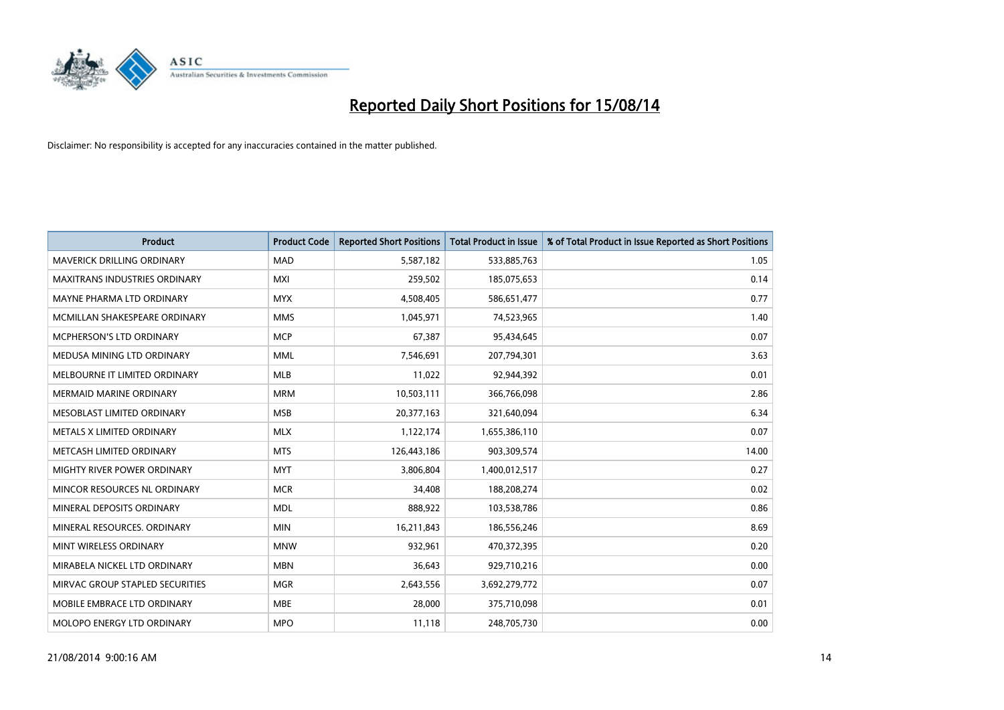

| <b>Product</b>                    | <b>Product Code</b> | <b>Reported Short Positions</b> | <b>Total Product in Issue</b> | % of Total Product in Issue Reported as Short Positions |
|-----------------------------------|---------------------|---------------------------------|-------------------------------|---------------------------------------------------------|
| <b>MAVERICK DRILLING ORDINARY</b> | <b>MAD</b>          | 5,587,182                       | 533,885,763                   | 1.05                                                    |
| MAXITRANS INDUSTRIES ORDINARY     | MXI                 | 259,502                         | 185,075,653                   | 0.14                                                    |
| MAYNE PHARMA LTD ORDINARY         | <b>MYX</b>          | 4,508,405                       | 586,651,477                   | 0.77                                                    |
| MCMILLAN SHAKESPEARE ORDINARY     | <b>MMS</b>          | 1,045,971                       | 74,523,965                    | 1.40                                                    |
| <b>MCPHERSON'S LTD ORDINARY</b>   | <b>MCP</b>          | 67,387                          | 95,434,645                    | 0.07                                                    |
| MEDUSA MINING LTD ORDINARY        | <b>MML</b>          | 7,546,691                       | 207,794,301                   | 3.63                                                    |
| MELBOURNE IT LIMITED ORDINARY     | <b>MLB</b>          | 11,022                          | 92,944,392                    | 0.01                                                    |
| <b>MERMAID MARINE ORDINARY</b>    | <b>MRM</b>          | 10,503,111                      | 366,766,098                   | 2.86                                                    |
| MESOBLAST LIMITED ORDINARY        | <b>MSB</b>          | 20,377,163                      | 321,640,094                   | 6.34                                                    |
| METALS X LIMITED ORDINARY         | <b>MLX</b>          | 1,122,174                       | 1,655,386,110                 | 0.07                                                    |
| METCASH LIMITED ORDINARY          | <b>MTS</b>          | 126,443,186                     | 903,309,574                   | 14.00                                                   |
| MIGHTY RIVER POWER ORDINARY       | <b>MYT</b>          | 3,806,804                       | 1,400,012,517                 | 0.27                                                    |
| MINCOR RESOURCES NL ORDINARY      | <b>MCR</b>          | 34,408                          | 188,208,274                   | 0.02                                                    |
| MINERAL DEPOSITS ORDINARY         | <b>MDL</b>          | 888,922                         | 103,538,786                   | 0.86                                                    |
| MINERAL RESOURCES, ORDINARY       | <b>MIN</b>          | 16,211,843                      | 186,556,246                   | 8.69                                                    |
| MINT WIRELESS ORDINARY            | <b>MNW</b>          | 932,961                         | 470,372,395                   | 0.20                                                    |
| MIRABELA NICKEL LTD ORDINARY      | <b>MBN</b>          | 36,643                          | 929,710,216                   | 0.00                                                    |
| MIRVAC GROUP STAPLED SECURITIES   | <b>MGR</b>          | 2,643,556                       | 3,692,279,772                 | 0.07                                                    |
| MOBILE EMBRACE LTD ORDINARY       | <b>MBE</b>          | 28,000                          | 375,710,098                   | 0.01                                                    |
| MOLOPO ENERGY LTD ORDINARY        | <b>MPO</b>          | 11,118                          | 248,705,730                   | 0.00                                                    |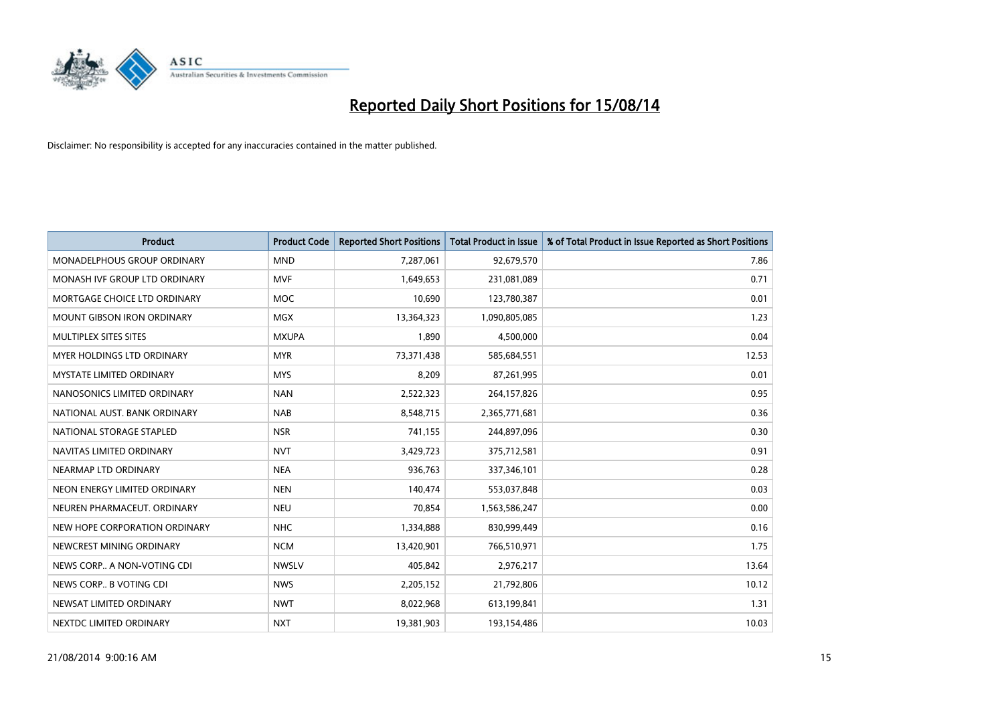

| <b>Product</b>                    | <b>Product Code</b> | <b>Reported Short Positions</b> | <b>Total Product in Issue</b> | % of Total Product in Issue Reported as Short Positions |
|-----------------------------------|---------------------|---------------------------------|-------------------------------|---------------------------------------------------------|
| MONADELPHOUS GROUP ORDINARY       | <b>MND</b>          | 7,287,061                       | 92,679,570                    | 7.86                                                    |
| MONASH IVF GROUP LTD ORDINARY     | MVF                 | 1,649,653                       | 231,081,089                   | 0.71                                                    |
| MORTGAGE CHOICE LTD ORDINARY      | <b>MOC</b>          | 10,690                          | 123,780,387                   | 0.01                                                    |
| MOUNT GIBSON IRON ORDINARY        | MGX                 | 13,364,323                      | 1,090,805,085                 | 1.23                                                    |
| MULTIPLEX SITES SITES             | <b>MXUPA</b>        | 1,890                           | 4,500,000                     | 0.04                                                    |
| <b>MYER HOLDINGS LTD ORDINARY</b> | <b>MYR</b>          | 73,371,438                      | 585,684,551                   | 12.53                                                   |
| <b>MYSTATE LIMITED ORDINARY</b>   | <b>MYS</b>          | 8,209                           | 87,261,995                    | 0.01                                                    |
| NANOSONICS LIMITED ORDINARY       | <b>NAN</b>          | 2,522,323                       | 264,157,826                   | 0.95                                                    |
| NATIONAL AUST, BANK ORDINARY      | <b>NAB</b>          | 8,548,715                       | 2,365,771,681                 | 0.36                                                    |
| NATIONAL STORAGE STAPLED          | <b>NSR</b>          | 741,155                         | 244,897,096                   | 0.30                                                    |
| NAVITAS LIMITED ORDINARY          | <b>NVT</b>          | 3,429,723                       | 375,712,581                   | 0.91                                                    |
| NEARMAP LTD ORDINARY              | <b>NEA</b>          | 936,763                         | 337,346,101                   | 0.28                                                    |
| NEON ENERGY LIMITED ORDINARY      | <b>NEN</b>          | 140,474                         | 553,037,848                   | 0.03                                                    |
| NEUREN PHARMACEUT, ORDINARY       | <b>NEU</b>          | 70,854                          | 1,563,586,247                 | 0.00                                                    |
| NEW HOPE CORPORATION ORDINARY     | <b>NHC</b>          | 1,334,888                       | 830,999,449                   | 0.16                                                    |
| NEWCREST MINING ORDINARY          | <b>NCM</b>          | 13,420,901                      | 766,510,971                   | 1.75                                                    |
| NEWS CORP A NON-VOTING CDI        | <b>NWSLV</b>        | 405,842                         | 2,976,217                     | 13.64                                                   |
| NEWS CORP B VOTING CDI            | <b>NWS</b>          | 2,205,152                       | 21,792,806                    | 10.12                                                   |
| NEWSAT LIMITED ORDINARY           | <b>NWT</b>          | 8,022,968                       | 613,199,841                   | 1.31                                                    |
| NEXTDC LIMITED ORDINARY           | <b>NXT</b>          | 19,381,903                      | 193,154,486                   | 10.03                                                   |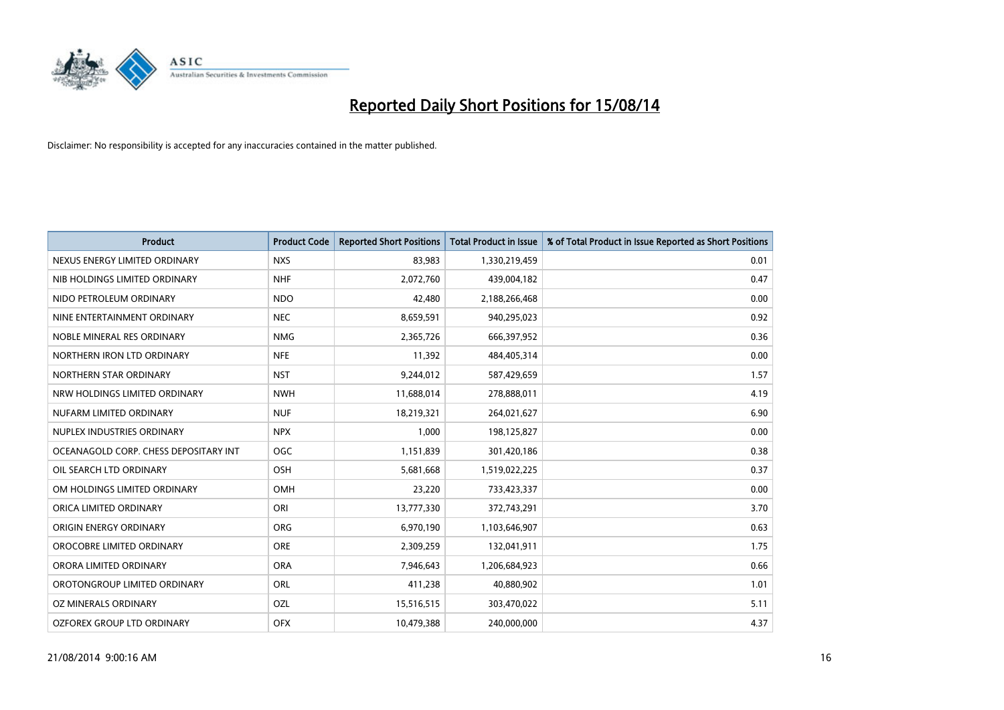

| <b>Product</b>                        | <b>Product Code</b> | <b>Reported Short Positions</b> | <b>Total Product in Issue</b> | % of Total Product in Issue Reported as Short Positions |
|---------------------------------------|---------------------|---------------------------------|-------------------------------|---------------------------------------------------------|
| NEXUS ENERGY LIMITED ORDINARY         | <b>NXS</b>          | 83,983                          | 1,330,219,459                 | 0.01                                                    |
| NIB HOLDINGS LIMITED ORDINARY         | <b>NHF</b>          | 2,072,760                       | 439,004,182                   | 0.47                                                    |
| NIDO PETROLEUM ORDINARY               | <b>NDO</b>          | 42,480                          | 2,188,266,468                 | 0.00                                                    |
| NINE ENTERTAINMENT ORDINARY           | <b>NEC</b>          | 8,659,591                       | 940,295,023                   | 0.92                                                    |
| NOBLE MINERAL RES ORDINARY            | <b>NMG</b>          | 2,365,726                       | 666,397,952                   | 0.36                                                    |
| NORTHERN IRON LTD ORDINARY            | <b>NFE</b>          | 11,392                          | 484,405,314                   | 0.00                                                    |
| NORTHERN STAR ORDINARY                | <b>NST</b>          | 9,244,012                       | 587,429,659                   | 1.57                                                    |
| NRW HOLDINGS LIMITED ORDINARY         | <b>NWH</b>          | 11,688,014                      | 278,888,011                   | 4.19                                                    |
| NUFARM LIMITED ORDINARY               | <b>NUF</b>          | 18,219,321                      | 264,021,627                   | 6.90                                                    |
| NUPLEX INDUSTRIES ORDINARY            | <b>NPX</b>          | 1,000                           | 198,125,827                   | 0.00                                                    |
| OCEANAGOLD CORP. CHESS DEPOSITARY INT | <b>OGC</b>          | 1,151,839                       | 301,420,186                   | 0.38                                                    |
| OIL SEARCH LTD ORDINARY               | OSH                 | 5,681,668                       | 1,519,022,225                 | 0.37                                                    |
| OM HOLDINGS LIMITED ORDINARY          | OMH                 | 23,220                          | 733,423,337                   | 0.00                                                    |
| ORICA LIMITED ORDINARY                | ORI                 | 13,777,330                      | 372,743,291                   | 3.70                                                    |
| ORIGIN ENERGY ORDINARY                | <b>ORG</b>          | 6,970,190                       | 1,103,646,907                 | 0.63                                                    |
| OROCOBRE LIMITED ORDINARY             | <b>ORE</b>          | 2,309,259                       | 132,041,911                   | 1.75                                                    |
| ORORA LIMITED ORDINARY                | <b>ORA</b>          | 7,946,643                       | 1,206,684,923                 | 0.66                                                    |
| OROTONGROUP LIMITED ORDINARY          | ORL                 | 411,238                         | 40,880,902                    | 1.01                                                    |
| <b>OZ MINERALS ORDINARY</b>           | <b>OZL</b>          | 15,516,515                      | 303,470,022                   | 5.11                                                    |
| OZFOREX GROUP LTD ORDINARY            | <b>OFX</b>          | 10,479,388                      | 240,000,000                   | 4.37                                                    |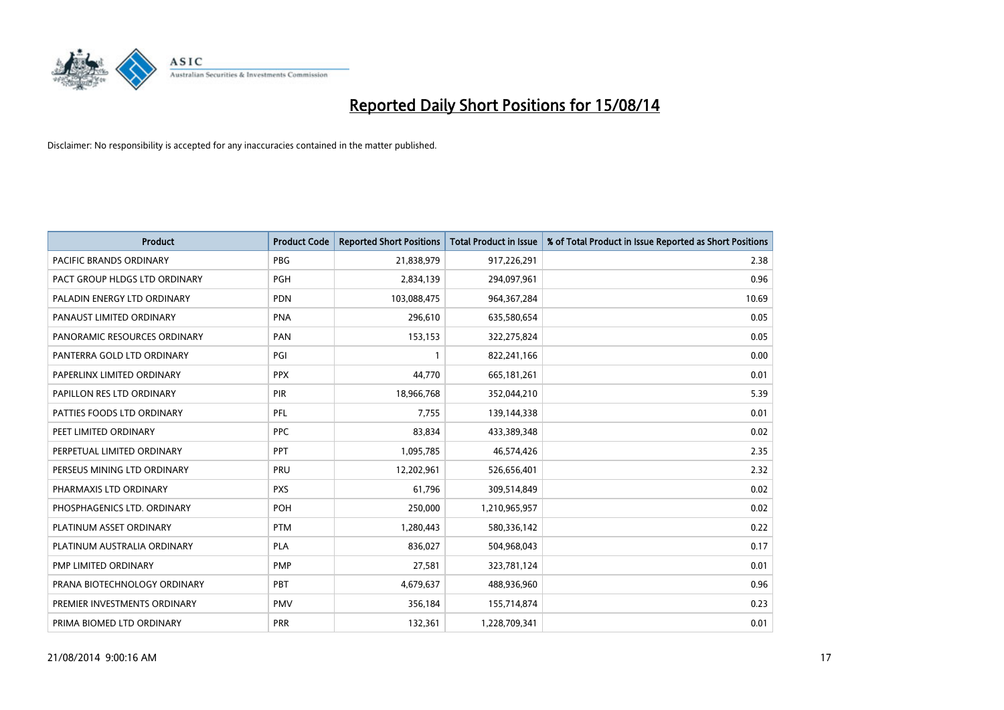

| <b>Product</b>                 | <b>Product Code</b> | <b>Reported Short Positions</b> | <b>Total Product in Issue</b> | % of Total Product in Issue Reported as Short Positions |
|--------------------------------|---------------------|---------------------------------|-------------------------------|---------------------------------------------------------|
| <b>PACIFIC BRANDS ORDINARY</b> | <b>PBG</b>          | 21,838,979                      | 917,226,291                   | 2.38                                                    |
| PACT GROUP HLDGS LTD ORDINARY  | <b>PGH</b>          | 2,834,139                       | 294,097,961                   | 0.96                                                    |
| PALADIN ENERGY LTD ORDINARY    | <b>PDN</b>          | 103,088,475                     | 964, 367, 284                 | 10.69                                                   |
| PANAUST LIMITED ORDINARY       | <b>PNA</b>          | 296,610                         | 635,580,654                   | 0.05                                                    |
| PANORAMIC RESOURCES ORDINARY   | PAN                 | 153,153                         | 322,275,824                   | 0.05                                                    |
| PANTERRA GOLD LTD ORDINARY     | PGI                 | $\mathbf{1}$                    | 822,241,166                   | 0.00                                                    |
| PAPERLINX LIMITED ORDINARY     | <b>PPX</b>          | 44,770                          | 665, 181, 261                 | 0.01                                                    |
| PAPILLON RES LTD ORDINARY      | PIR                 | 18,966,768                      | 352,044,210                   | 5.39                                                    |
| PATTIES FOODS LTD ORDINARY     | PFL                 | 7,755                           | 139,144,338                   | 0.01                                                    |
| PEET LIMITED ORDINARY          | <b>PPC</b>          | 83,834                          | 433,389,348                   | 0.02                                                    |
| PERPETUAL LIMITED ORDINARY     | PPT                 | 1,095,785                       | 46,574,426                    | 2.35                                                    |
| PERSEUS MINING LTD ORDINARY    | PRU                 | 12,202,961                      | 526,656,401                   | 2.32                                                    |
| PHARMAXIS LTD ORDINARY         | <b>PXS</b>          | 61,796                          | 309,514,849                   | 0.02                                                    |
| PHOSPHAGENICS LTD. ORDINARY    | <b>POH</b>          | 250,000                         | 1,210,965,957                 | 0.02                                                    |
| PLATINUM ASSET ORDINARY        | <b>PTM</b>          | 1,280,443                       | 580,336,142                   | 0.22                                                    |
| PLATINUM AUSTRALIA ORDINARY    | <b>PLA</b>          | 836,027                         | 504,968,043                   | 0.17                                                    |
| PMP LIMITED ORDINARY           | <b>PMP</b>          | 27,581                          | 323,781,124                   | 0.01                                                    |
| PRANA BIOTECHNOLOGY ORDINARY   | <b>PBT</b>          | 4,679,637                       | 488,936,960                   | 0.96                                                    |
| PREMIER INVESTMENTS ORDINARY   | <b>PMV</b>          | 356,184                         | 155,714,874                   | 0.23                                                    |
| PRIMA BIOMED LTD ORDINARY      | <b>PRR</b>          | 132,361                         | 1,228,709,341                 | 0.01                                                    |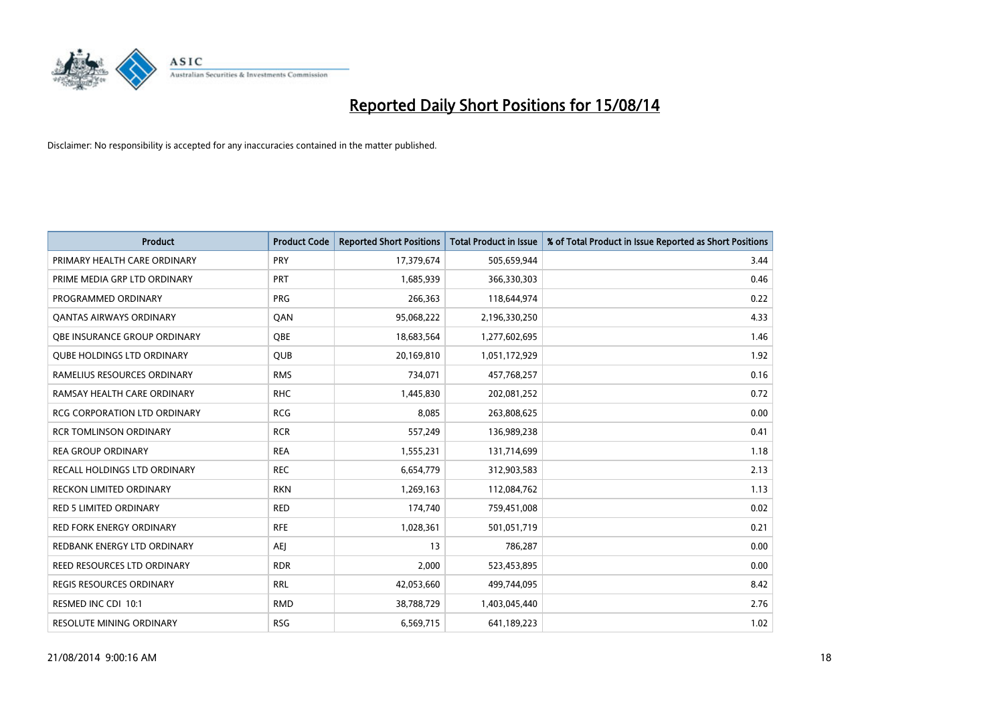

| <b>Product</b>                      | <b>Product Code</b> | <b>Reported Short Positions</b> | <b>Total Product in Issue</b> | % of Total Product in Issue Reported as Short Positions |
|-------------------------------------|---------------------|---------------------------------|-------------------------------|---------------------------------------------------------|
| PRIMARY HEALTH CARE ORDINARY        | <b>PRY</b>          | 17,379,674                      | 505,659,944                   | 3.44                                                    |
| PRIME MEDIA GRP LTD ORDINARY        | PRT                 | 1,685,939                       | 366,330,303                   | 0.46                                                    |
| PROGRAMMED ORDINARY                 | <b>PRG</b>          | 266,363                         | 118,644,974                   | 0.22                                                    |
| <b>QANTAS AIRWAYS ORDINARY</b>      | QAN                 | 95,068,222                      | 2,196,330,250                 | 4.33                                                    |
| OBE INSURANCE GROUP ORDINARY        | <b>OBE</b>          | 18,683,564                      | 1,277,602,695                 | 1.46                                                    |
| <b>QUBE HOLDINGS LTD ORDINARY</b>   | <b>QUB</b>          | 20,169,810                      | 1,051,172,929                 | 1.92                                                    |
| RAMELIUS RESOURCES ORDINARY         | <b>RMS</b>          | 734,071                         | 457,768,257                   | 0.16                                                    |
| RAMSAY HEALTH CARE ORDINARY         | <b>RHC</b>          | 1,445,830                       | 202,081,252                   | 0.72                                                    |
| <b>RCG CORPORATION LTD ORDINARY</b> | <b>RCG</b>          | 8,085                           | 263,808,625                   | 0.00                                                    |
| <b>RCR TOMLINSON ORDINARY</b>       | <b>RCR</b>          | 557,249                         | 136,989,238                   | 0.41                                                    |
| <b>REA GROUP ORDINARY</b>           | <b>REA</b>          | 1,555,231                       | 131,714,699                   | 1.18                                                    |
| RECALL HOLDINGS LTD ORDINARY        | <b>REC</b>          | 6,654,779                       | 312,903,583                   | 2.13                                                    |
| RECKON LIMITED ORDINARY             | <b>RKN</b>          | 1,269,163                       | 112,084,762                   | 1.13                                                    |
| <b>RED 5 LIMITED ORDINARY</b>       | <b>RED</b>          | 174,740                         | 759,451,008                   | 0.02                                                    |
| <b>RED FORK ENERGY ORDINARY</b>     | <b>RFE</b>          | 1,028,361                       | 501,051,719                   | 0.21                                                    |
| REDBANK ENERGY LTD ORDINARY         | <b>AEI</b>          | 13                              | 786,287                       | 0.00                                                    |
| REED RESOURCES LTD ORDINARY         | <b>RDR</b>          | 2,000                           | 523,453,895                   | 0.00                                                    |
| REGIS RESOURCES ORDINARY            | <b>RRL</b>          | 42,053,660                      | 499,744,095                   | 8.42                                                    |
| RESMED INC CDI 10:1                 | <b>RMD</b>          | 38,788,729                      | 1,403,045,440                 | 2.76                                                    |
| <b>RESOLUTE MINING ORDINARY</b>     | <b>RSG</b>          | 6,569,715                       | 641,189,223                   | 1.02                                                    |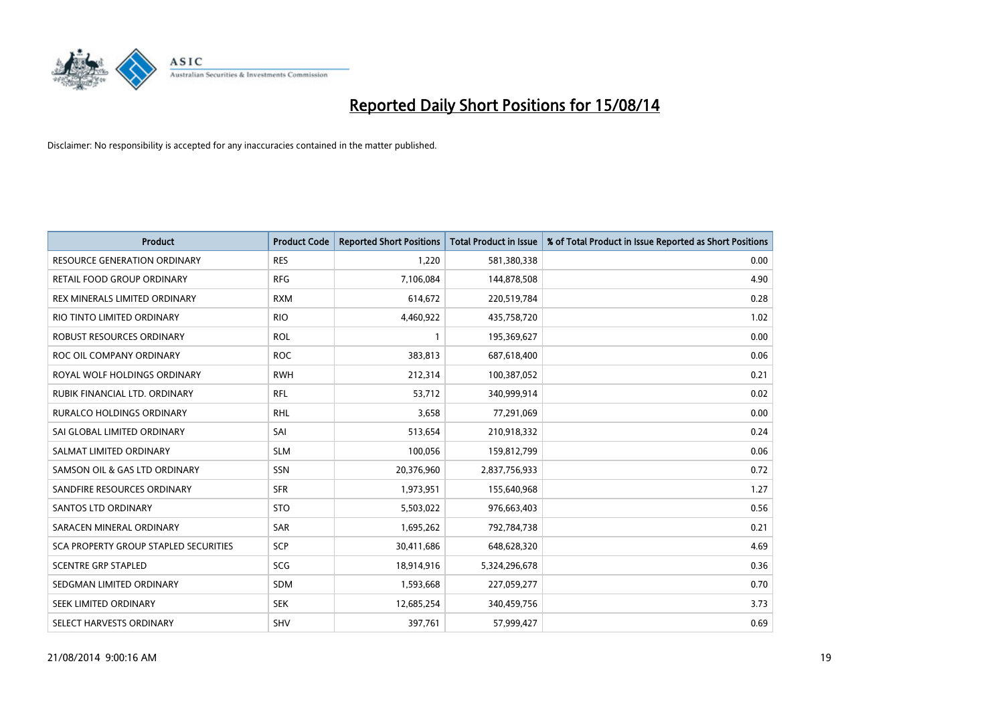

| <b>Product</b>                        | <b>Product Code</b> | <b>Reported Short Positions</b> | <b>Total Product in Issue</b> | % of Total Product in Issue Reported as Short Positions |
|---------------------------------------|---------------------|---------------------------------|-------------------------------|---------------------------------------------------------|
| <b>RESOURCE GENERATION ORDINARY</b>   | <b>RES</b>          | 1,220                           | 581,380,338                   | 0.00                                                    |
| <b>RETAIL FOOD GROUP ORDINARY</b>     | <b>RFG</b>          | 7,106,084                       | 144,878,508                   | 4.90                                                    |
| REX MINERALS LIMITED ORDINARY         | <b>RXM</b>          | 614,672                         | 220,519,784                   | 0.28                                                    |
| RIO TINTO LIMITED ORDINARY            | <b>RIO</b>          | 4,460,922                       | 435,758,720                   | 1.02                                                    |
| <b>ROBUST RESOURCES ORDINARY</b>      | <b>ROL</b>          | 1                               | 195,369,627                   | 0.00                                                    |
| ROC OIL COMPANY ORDINARY              | <b>ROC</b>          | 383,813                         | 687,618,400                   | 0.06                                                    |
| ROYAL WOLF HOLDINGS ORDINARY          | <b>RWH</b>          | 212,314                         | 100,387,052                   | 0.21                                                    |
| RUBIK FINANCIAL LTD. ORDINARY         | <b>RFL</b>          | 53,712                          | 340,999,914                   | 0.02                                                    |
| <b>RURALCO HOLDINGS ORDINARY</b>      | <b>RHL</b>          | 3,658                           | 77,291,069                    | 0.00                                                    |
| SAI GLOBAL LIMITED ORDINARY           | SAI                 | 513,654                         | 210,918,332                   | 0.24                                                    |
| SALMAT LIMITED ORDINARY               | <b>SLM</b>          | 100,056                         | 159,812,799                   | 0.06                                                    |
| SAMSON OIL & GAS LTD ORDINARY         | SSN                 | 20,376,960                      | 2,837,756,933                 | 0.72                                                    |
| SANDFIRE RESOURCES ORDINARY           | <b>SFR</b>          | 1,973,951                       | 155,640,968                   | 1.27                                                    |
| SANTOS LTD ORDINARY                   | <b>STO</b>          | 5,503,022                       | 976,663,403                   | 0.56                                                    |
| SARACEN MINERAL ORDINARY              | SAR                 | 1,695,262                       | 792,784,738                   | 0.21                                                    |
| SCA PROPERTY GROUP STAPLED SECURITIES | SCP                 | 30,411,686                      | 648,628,320                   | 4.69                                                    |
| <b>SCENTRE GRP STAPLED</b>            | SCG                 | 18,914,916                      | 5,324,296,678                 | 0.36                                                    |
| SEDGMAN LIMITED ORDINARY              | SDM                 | 1,593,668                       | 227,059,277                   | 0.70                                                    |
| SEEK LIMITED ORDINARY                 | <b>SEK</b>          | 12,685,254                      | 340,459,756                   | 3.73                                                    |
| SELECT HARVESTS ORDINARY              | SHV                 | 397,761                         | 57,999,427                    | 0.69                                                    |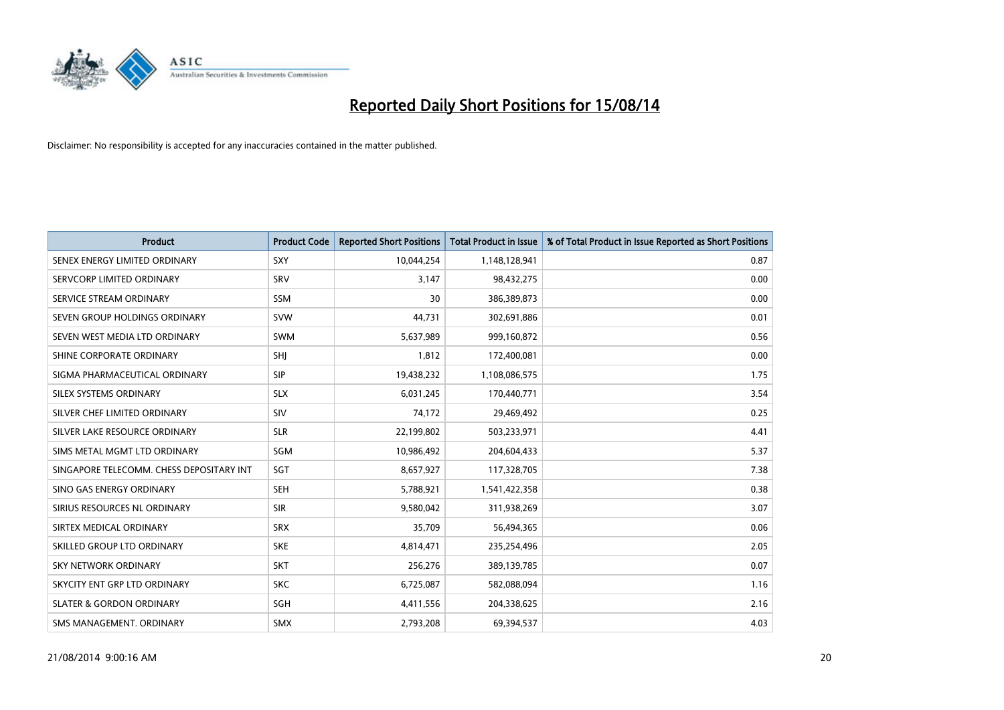

| <b>Product</b>                           | <b>Product Code</b> | <b>Reported Short Positions</b> | <b>Total Product in Issue</b> | % of Total Product in Issue Reported as Short Positions |
|------------------------------------------|---------------------|---------------------------------|-------------------------------|---------------------------------------------------------|
| SENEX ENERGY LIMITED ORDINARY            | <b>SXY</b>          | 10,044,254                      | 1,148,128,941                 | 0.87                                                    |
| SERVCORP LIMITED ORDINARY                | SRV                 | 3,147                           | 98,432,275                    | 0.00                                                    |
| SERVICE STREAM ORDINARY                  | <b>SSM</b>          | 30                              | 386,389,873                   | 0.00                                                    |
| SEVEN GROUP HOLDINGS ORDINARY            | <b>SVW</b>          | 44.731                          | 302,691,886                   | 0.01                                                    |
| SEVEN WEST MEDIA LTD ORDINARY            | <b>SWM</b>          | 5,637,989                       | 999,160,872                   | 0.56                                                    |
| SHINE CORPORATE ORDINARY                 | SHI                 | 1,812                           | 172,400,081                   | 0.00                                                    |
| SIGMA PHARMACEUTICAL ORDINARY            | <b>SIP</b>          | 19,438,232                      | 1,108,086,575                 | 1.75                                                    |
| SILEX SYSTEMS ORDINARY                   | <b>SLX</b>          | 6,031,245                       | 170,440,771                   | 3.54                                                    |
| SILVER CHEF LIMITED ORDINARY             | SIV                 | 74,172                          | 29,469,492                    | 0.25                                                    |
| SILVER LAKE RESOURCE ORDINARY            | <b>SLR</b>          | 22,199,802                      | 503,233,971                   | 4.41                                                    |
| SIMS METAL MGMT LTD ORDINARY             | SGM                 | 10,986,492                      | 204,604,433                   | 5.37                                                    |
| SINGAPORE TELECOMM. CHESS DEPOSITARY INT | SGT                 | 8,657,927                       | 117,328,705                   | 7.38                                                    |
| SINO GAS ENERGY ORDINARY                 | <b>SEH</b>          | 5,788,921                       | 1,541,422,358                 | 0.38                                                    |
| SIRIUS RESOURCES NL ORDINARY             | <b>SIR</b>          | 9,580,042                       | 311,938,269                   | 3.07                                                    |
| SIRTEX MEDICAL ORDINARY                  | <b>SRX</b>          | 35,709                          | 56,494,365                    | 0.06                                                    |
| SKILLED GROUP LTD ORDINARY               | <b>SKE</b>          | 4,814,471                       | 235,254,496                   | 2.05                                                    |
| <b>SKY NETWORK ORDINARY</b>              | <b>SKT</b>          | 256,276                         | 389,139,785                   | 0.07                                                    |
| SKYCITY ENT GRP LTD ORDINARY             | <b>SKC</b>          | 6,725,087                       | 582,088,094                   | 1.16                                                    |
| <b>SLATER &amp; GORDON ORDINARY</b>      | SGH                 | 4,411,556                       | 204,338,625                   | 2.16                                                    |
| SMS MANAGEMENT, ORDINARY                 | <b>SMX</b>          | 2,793,208                       | 69,394,537                    | 4.03                                                    |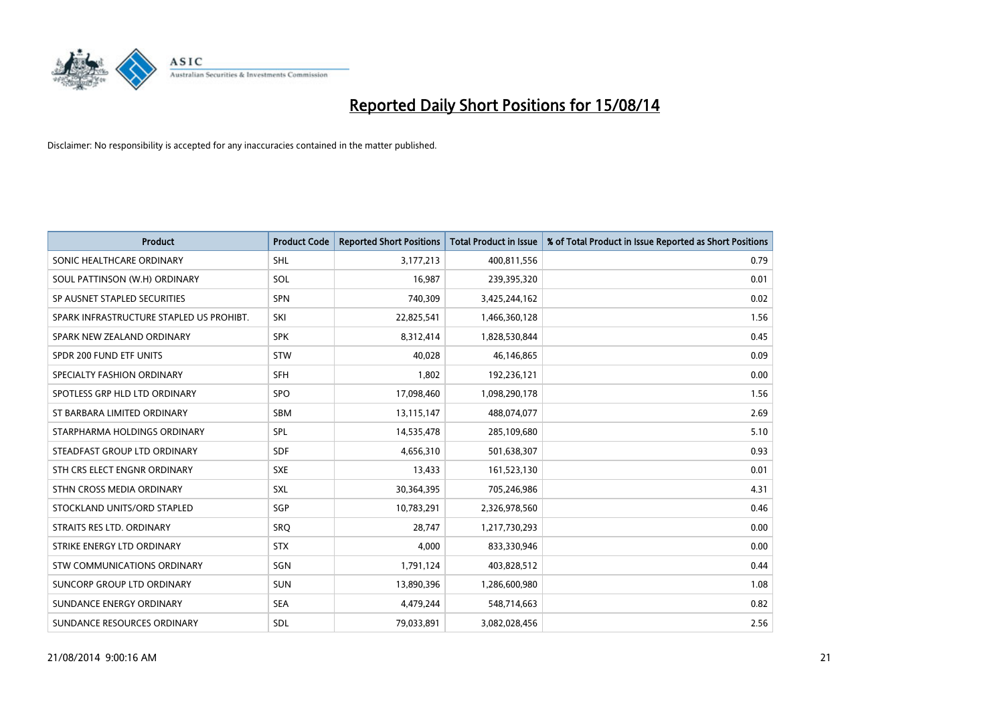

| <b>Product</b>                           | <b>Product Code</b> | <b>Reported Short Positions</b> | <b>Total Product in Issue</b> | % of Total Product in Issue Reported as Short Positions |
|------------------------------------------|---------------------|---------------------------------|-------------------------------|---------------------------------------------------------|
| SONIC HEALTHCARE ORDINARY                | <b>SHL</b>          | 3,177,213                       | 400,811,556                   | 0.79                                                    |
| SOUL PATTINSON (W.H) ORDINARY            | SOL                 | 16,987                          | 239,395,320                   | 0.01                                                    |
| SP AUSNET STAPLED SECURITIES             | <b>SPN</b>          | 740,309                         | 3,425,244,162                 | 0.02                                                    |
| SPARK INFRASTRUCTURE STAPLED US PROHIBT. | SKI                 | 22,825,541                      | 1,466,360,128                 | 1.56                                                    |
| SPARK NEW ZEALAND ORDINARY               | <b>SPK</b>          | 8,312,414                       | 1,828,530,844                 | 0.45                                                    |
| SPDR 200 FUND ETF UNITS                  | STW                 | 40,028                          | 46,146,865                    | 0.09                                                    |
| SPECIALTY FASHION ORDINARY               | <b>SFH</b>          | 1,802                           | 192,236,121                   | 0.00                                                    |
| SPOTLESS GRP HLD LTD ORDINARY            | <b>SPO</b>          | 17,098,460                      | 1,098,290,178                 | 1.56                                                    |
| ST BARBARA LIMITED ORDINARY              | <b>SBM</b>          | 13,115,147                      | 488,074,077                   | 2.69                                                    |
| STARPHARMA HOLDINGS ORDINARY             | <b>SPL</b>          | 14,535,478                      | 285,109,680                   | 5.10                                                    |
| STEADFAST GROUP LTD ORDINARY             | <b>SDF</b>          | 4,656,310                       | 501,638,307                   | 0.93                                                    |
| STH CRS ELECT ENGNR ORDINARY             | <b>SXE</b>          | 13,433                          | 161,523,130                   | 0.01                                                    |
| STHN CROSS MEDIA ORDINARY                | SXL                 | 30,364,395                      | 705,246,986                   | 4.31                                                    |
| STOCKLAND UNITS/ORD STAPLED              | SGP                 | 10,783,291                      | 2,326,978,560                 | 0.46                                                    |
| STRAITS RES LTD. ORDINARY                | SRQ                 | 28,747                          | 1,217,730,293                 | 0.00                                                    |
| STRIKE ENERGY LTD ORDINARY               | <b>STX</b>          | 4,000                           | 833,330,946                   | 0.00                                                    |
| STW COMMUNICATIONS ORDINARY              | SGN                 | 1,791,124                       | 403,828,512                   | 0.44                                                    |
| SUNCORP GROUP LTD ORDINARY               | <b>SUN</b>          | 13,890,396                      | 1,286,600,980                 | 1.08                                                    |
| SUNDANCE ENERGY ORDINARY                 | <b>SEA</b>          | 4,479,244                       | 548,714,663                   | 0.82                                                    |
| SUNDANCE RESOURCES ORDINARY              | <b>SDL</b>          | 79,033,891                      | 3,082,028,456                 | 2.56                                                    |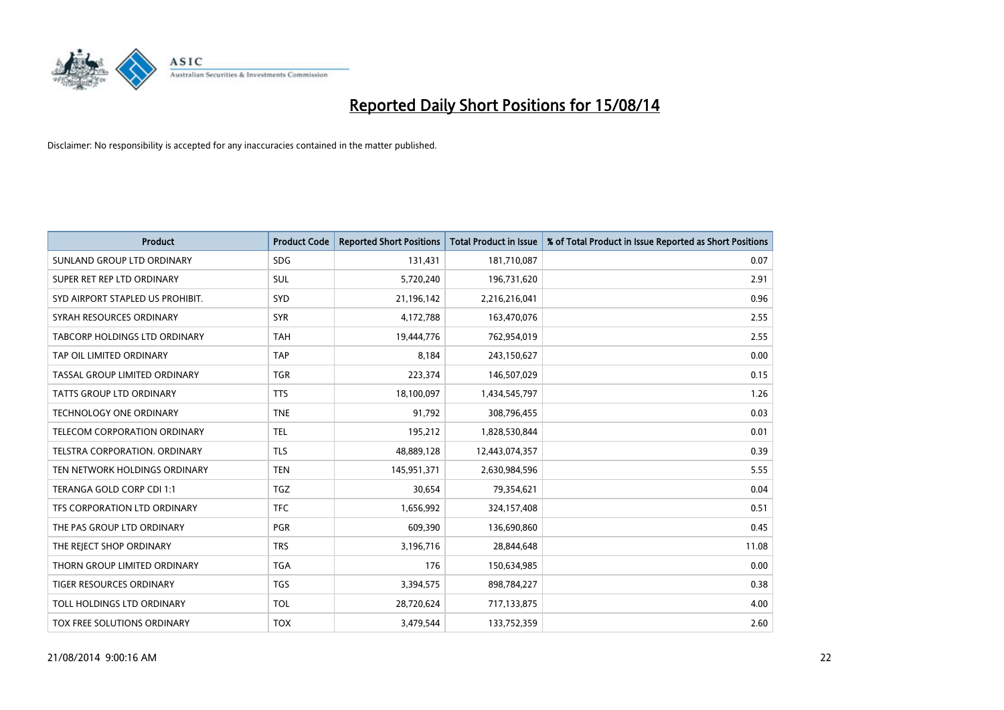

| <b>Product</b>                   | <b>Product Code</b> | <b>Reported Short Positions</b> | <b>Total Product in Issue</b> | % of Total Product in Issue Reported as Short Positions |
|----------------------------------|---------------------|---------------------------------|-------------------------------|---------------------------------------------------------|
| SUNLAND GROUP LTD ORDINARY       | <b>SDG</b>          | 131,431                         | 181,710,087                   | 0.07                                                    |
| SUPER RET REP LTD ORDINARY       | <b>SUL</b>          | 5,720,240                       | 196,731,620                   | 2.91                                                    |
| SYD AIRPORT STAPLED US PROHIBIT. | <b>SYD</b>          | 21,196,142                      | 2,216,216,041                 | 0.96                                                    |
| SYRAH RESOURCES ORDINARY         | <b>SYR</b>          | 4,172,788                       | 163,470,076                   | 2.55                                                    |
| TABCORP HOLDINGS LTD ORDINARY    | <b>TAH</b>          | 19,444,776                      | 762,954,019                   | 2.55                                                    |
| TAP OIL LIMITED ORDINARY         | <b>TAP</b>          | 8,184                           | 243,150,627                   | 0.00                                                    |
| TASSAL GROUP LIMITED ORDINARY    | TGR                 | 223,374                         | 146,507,029                   | 0.15                                                    |
| TATTS GROUP LTD ORDINARY         | <b>TTS</b>          | 18,100,097                      | 1,434,545,797                 | 1.26                                                    |
| <b>TECHNOLOGY ONE ORDINARY</b>   | <b>TNE</b>          | 91,792                          | 308,796,455                   | 0.03                                                    |
| TELECOM CORPORATION ORDINARY     | <b>TEL</b>          | 195,212                         | 1,828,530,844                 | 0.01                                                    |
| TELSTRA CORPORATION. ORDINARY    | <b>TLS</b>          | 48,889,128                      | 12,443,074,357                | 0.39                                                    |
| TEN NETWORK HOLDINGS ORDINARY    | <b>TEN</b>          | 145,951,371                     | 2,630,984,596                 | 5.55                                                    |
| TERANGA GOLD CORP CDI 1:1        | TGZ                 | 30,654                          | 79,354,621                    | 0.04                                                    |
| TFS CORPORATION LTD ORDINARY     | <b>TFC</b>          | 1,656,992                       | 324,157,408                   | 0.51                                                    |
| THE PAS GROUP LTD ORDINARY       | <b>PGR</b>          | 609,390                         | 136,690,860                   | 0.45                                                    |
| THE REJECT SHOP ORDINARY         | <b>TRS</b>          | 3,196,716                       | 28,844,648                    | 11.08                                                   |
| THORN GROUP LIMITED ORDINARY     | <b>TGA</b>          | 176                             | 150,634,985                   | 0.00                                                    |
| TIGER RESOURCES ORDINARY         | <b>TGS</b>          | 3,394,575                       | 898,784,227                   | 0.38                                                    |
| TOLL HOLDINGS LTD ORDINARY       | <b>TOL</b>          | 28,720,624                      | 717,133,875                   | 4.00                                                    |
| TOX FREE SOLUTIONS ORDINARY      | <b>TOX</b>          | 3,479,544                       | 133,752,359                   | 2.60                                                    |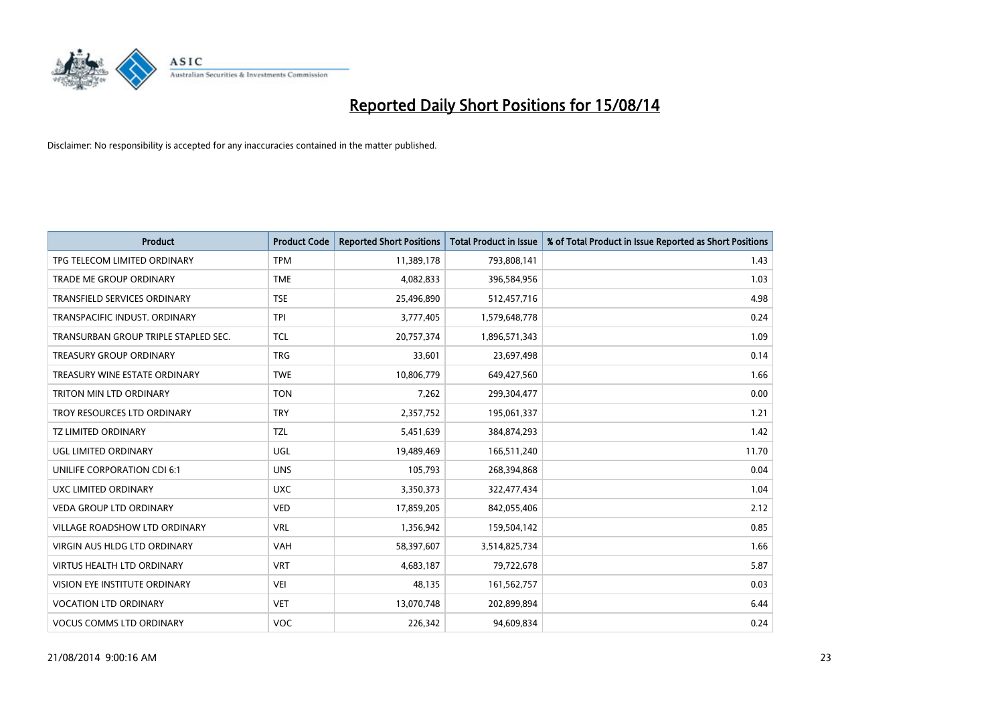

| <b>Product</b>                       | <b>Product Code</b> | <b>Reported Short Positions</b> | <b>Total Product in Issue</b> | % of Total Product in Issue Reported as Short Positions |
|--------------------------------------|---------------------|---------------------------------|-------------------------------|---------------------------------------------------------|
| TPG TELECOM LIMITED ORDINARY         | <b>TPM</b>          | 11,389,178                      | 793,808,141                   | 1.43                                                    |
| TRADE ME GROUP ORDINARY              | <b>TME</b>          | 4,082,833                       | 396,584,956                   | 1.03                                                    |
| <b>TRANSFIELD SERVICES ORDINARY</b>  | <b>TSE</b>          | 25,496,890                      | 512,457,716                   | 4.98                                                    |
| TRANSPACIFIC INDUST. ORDINARY        | <b>TPI</b>          | 3,777,405                       | 1,579,648,778                 | 0.24                                                    |
| TRANSURBAN GROUP TRIPLE STAPLED SEC. | <b>TCL</b>          | 20,757,374                      | 1,896,571,343                 | 1.09                                                    |
| <b>TREASURY GROUP ORDINARY</b>       | <b>TRG</b>          | 33,601                          | 23,697,498                    | 0.14                                                    |
| TREASURY WINE ESTATE ORDINARY        | <b>TWE</b>          | 10,806,779                      | 649,427,560                   | 1.66                                                    |
| TRITON MIN LTD ORDINARY              | <b>TON</b>          | 7,262                           | 299,304,477                   | 0.00                                                    |
| TROY RESOURCES LTD ORDINARY          | <b>TRY</b>          | 2,357,752                       | 195,061,337                   | 1.21                                                    |
| <b>TZ LIMITED ORDINARY</b>           | <b>TZL</b>          | 5,451,639                       | 384,874,293                   | 1.42                                                    |
| UGL LIMITED ORDINARY                 | UGL                 | 19,489,469                      | 166,511,240                   | 11.70                                                   |
| UNILIFE CORPORATION CDI 6:1          | <b>UNS</b>          | 105,793                         | 268,394,868                   | 0.04                                                    |
| UXC LIMITED ORDINARY                 | <b>UXC</b>          | 3,350,373                       | 322,477,434                   | 1.04                                                    |
| <b>VEDA GROUP LTD ORDINARY</b>       | <b>VED</b>          | 17,859,205                      | 842,055,406                   | 2.12                                                    |
| <b>VILLAGE ROADSHOW LTD ORDINARY</b> | <b>VRL</b>          | 1,356,942                       | 159,504,142                   | 0.85                                                    |
| VIRGIN AUS HLDG LTD ORDINARY         | <b>VAH</b>          | 58,397,607                      | 3,514,825,734                 | 1.66                                                    |
| VIRTUS HEALTH LTD ORDINARY           | <b>VRT</b>          | 4,683,187                       | 79,722,678                    | 5.87                                                    |
| VISION EYE INSTITUTE ORDINARY        | <b>VEI</b>          | 48,135                          | 161,562,757                   | 0.03                                                    |
| <b>VOCATION LTD ORDINARY</b>         | <b>VET</b>          | 13,070,748                      | 202,899,894                   | 6.44                                                    |
| <b>VOCUS COMMS LTD ORDINARY</b>      | <b>VOC</b>          | 226,342                         | 94,609,834                    | 0.24                                                    |